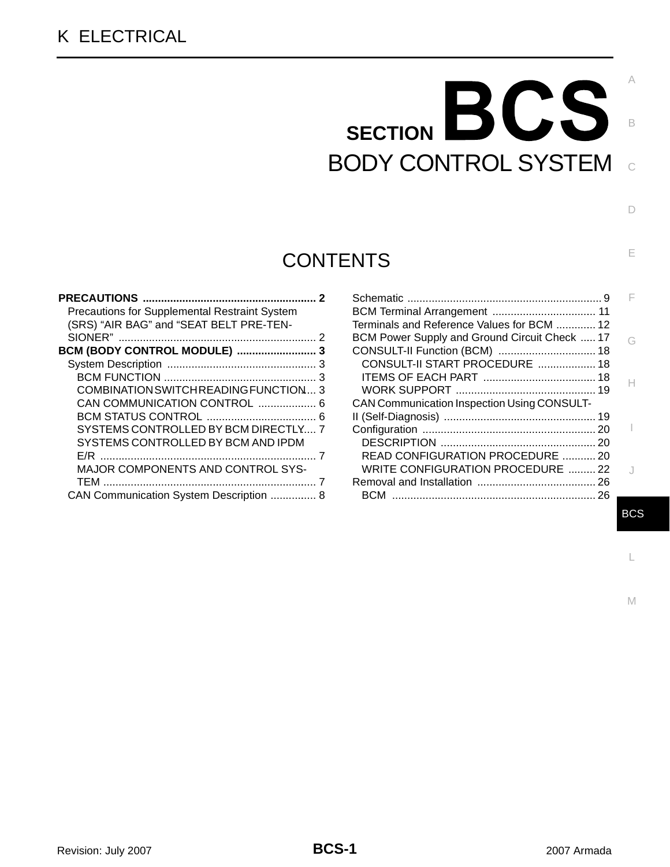# BODY CONTROL SYSTEM SECTION **BCS**

# **CONTENTS**

| <b>Precautions for Supplemental Restraint System</b> |  |
|------------------------------------------------------|--|
| (SRS) "AIR BAG" and "SEAT BELT PRE-TEN-              |  |
|                                                      |  |
| BCM (BODY CONTROL MODULE)  3                         |  |
|                                                      |  |
|                                                      |  |
| COMBINATION SWITCH READING FUNCTION 3                |  |
| CAN COMMUNICATION CONTROL  6                         |  |
|                                                      |  |
| SYSTEMS CONTROLLED BY BCM DIRECTLY 7                 |  |
| SYSTEMS CONTROLLED BY BCM AND IPDM                   |  |
|                                                      |  |
| <b>MAJOR COMPONENTS AND CONTROL SYS-</b>             |  |
|                                                      |  |
| CAN Communication System Description  8              |  |

| Terminals and Reference Values for BCM  12         |   |
|----------------------------------------------------|---|
| BCM Power Supply and Ground Circuit Check  17      | G |
| CONSULT-II Function (BCM)  18                      |   |
| CONSULT-II START PROCEDURE  18                     |   |
|                                                    |   |
|                                                    |   |
| <b>CAN Communication Inspection Using CONSULT-</b> |   |
|                                                    |   |
|                                                    |   |
|                                                    |   |
| READ CONFIGURATION PROCEDURE  20                   |   |
| WRITE CONFIGURATION PROCEDURE  22                  |   |
|                                                    |   |
| ВCM                                                |   |

BCS

L

M

C

B

A

 $\Box$ 

E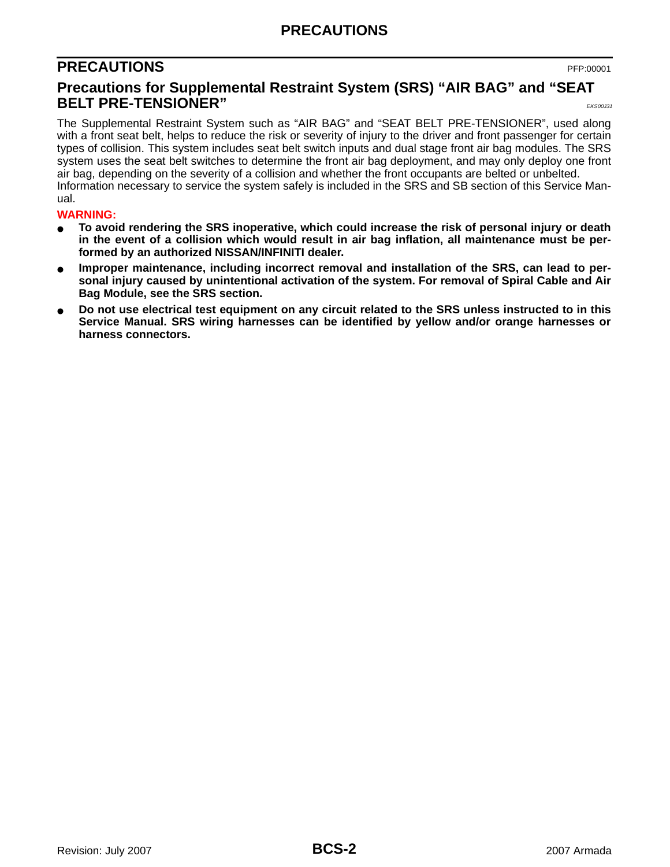## **PRECAUTIONS**

## <span id="page-1-0"></span>**PRECAUTIONS** PFP:00001

## <span id="page-1-1"></span>**Precautions for Supplemental Restraint System (SRS) "AIR BAG" and "SEAT BELT PRE-TENSIONER"**  $\frac{1}{\text{EKS}(0,0)}$

The Supplemental Restraint System such as "AIR BAG" and "SEAT BELT PRE-TENSIONER", used along with a front seat belt, helps to reduce the risk or severity of injury to the driver and front passenger for certain types of collision. This system includes seat belt switch inputs and dual stage front air bag modules. The SRS system uses the seat belt switches to determine the front air bag deployment, and may only deploy one front air bag, depending on the severity of a collision and whether the front occupants are belted or unbelted. Information necessary to service the system safely is included in the SRS and SB section of this Service Manual.

#### **WARNING:**

- **To avoid rendering the SRS inoperative, which could increase the risk of personal injury or death in the event of a collision which would result in air bag inflation, all maintenance must be performed by an authorized NISSAN/INFINITI dealer.**
- Improper maintenance, including incorrect removal and installation of the SRS, can lead to per**sonal injury caused by unintentional activation of the system. For removal of Spiral Cable and Air Bag Module, see the SRS section.**
- Do not use electrical test equipment on any circuit related to the SRS unless instructed to in this **Service Manual. SRS wiring harnesses can be identified by yellow and/or orange harnesses or harness connectors.**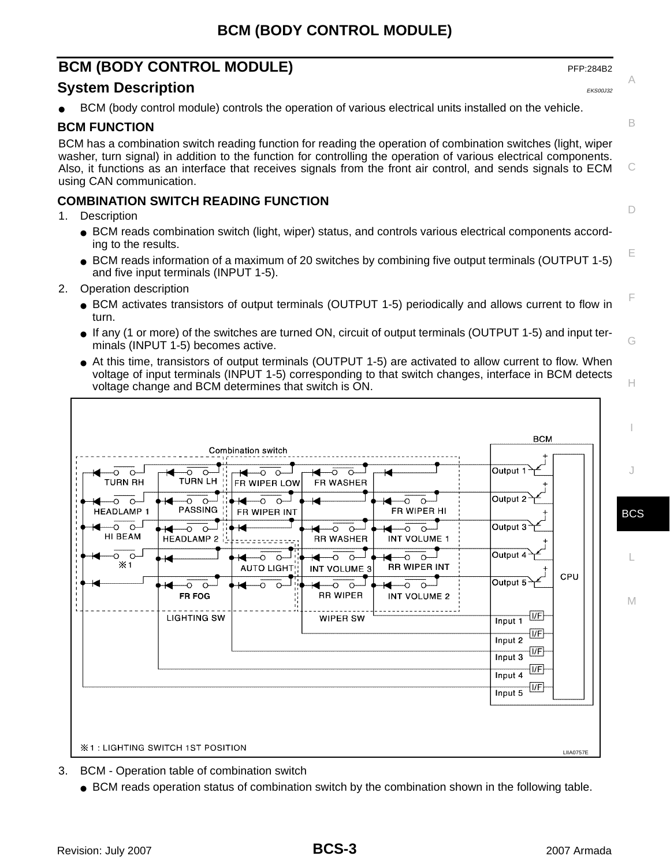## <span id="page-2-0"></span>**BCM (BODY CONTROL MODULE)** PFP:284B2

## <span id="page-2-1"></span>**System Description** EXACTER EXACTED A REPORT OF THE EXSOLUTION OF THE EXSOLUTION OF THE EXSOLUTION OF THE EXSOLUTION

BCM (body control module) controls the operation of various electrical units installed on the vehicle.

## <span id="page-2-2"></span>**BCM FUNCTION**

BCM has a combination switch reading function for reading the operation of combination switches (light, wiper washer, turn signal) in addition to the function for controlling the operation of various electrical components. Also, it functions as an interface that receives signals from the front air control, and sends signals to ECM using CAN communication.

## <span id="page-2-3"></span>**COMBINATION SWITCH READING FUNCTION**

- 1. Description
	- BCM reads combination switch (light, wiper) status, and controls various electrical components according to the results.
	- BCM reads information of a maximum of 20 switches by combining five output terminals (OUTPUT 1-5) and five input terminals (INPUT 1-5).
- 2. Operation description
	- BCM activates transistors of output terminals (OUTPUT 1-5) periodically and allows current to flow in turn.
	- If any (1 or more) of the switches are turned ON, circuit of output terminals (OUTPUT 1-5) and input terminals (INPUT 1-5) becomes active.
	- At this time, transistors of output terminals (OUTPUT 1-5) are activated to allow current to flow. When voltage of input terminals (INPUT 1-5) corresponding to that switch changes, interface in BCM detects voltage change and BCM determines that switch is ON.

|                                                                 | Combination switch                                   |                                     | <b>BCM</b>                                 |
|-----------------------------------------------------------------|------------------------------------------------------|-------------------------------------|--------------------------------------------|
| -റ<br>↷<br>п.<br><b>TURN RH</b><br>$\mathbf{I}$<br>$\mathbf{I}$ | -0<br>$\circ$<br>O<br>TURN LH<br><b>FR WIPER LOW</b> | O-<br>$\Omega$<br>FR WASHER         | Output 1                                   |
| <b>HEADLAMP1</b><br>$\mathbf{I}$                                | $\Omega$<br>$\circ$<br>PASSING<br>FR WIPER INT       | FR WIPER HI                         | Output 2                                   |
| -റ റ–<br>HI BEAM<br>$\mathbf{I}$                                | Ő.<br>HEADLAMP $2\frac{1}{2}$                        | <b>RR WASHER</b><br>INT VOLUME 1    | Output 3                                   |
| O.<br>$\circ$<br>$\times 1$                                     | AUTO LIGHT                                           | <b>RR WIPER INT</b><br>INT VOLUME 3 | Output 4                                   |
| $\mathbf{I}$<br>$\mathbf{I}$<br>$\mathbf{I}$                    | FR FOG                                               | <b>RR WIPER</b><br>INT VOLUME 2     | CPU<br>Output 5                            |
|                                                                 | <b>LIGHTING SW</b>                                   | <b>WIPER SW</b>                     | V <br>Input 1                              |
|                                                                 |                                                      |                                     | $\boxed{V}$ F<br>Input 2<br>$\overline{v}$ |
|                                                                 |                                                      |                                     | Input 3<br> VF <br>Input 4                 |
|                                                                 |                                                      |                                     | $ I/\mathsf{F} $<br>Input 5                |
|                                                                 |                                                      |                                     |                                            |
|                                                                 | <b>X1: LIGHTING SWITCH 1ST POSITION</b>              |                                     | <b>LIIA0757E</b>                           |

- 3. BCM Operation table of combination switch
	- BCM reads operation status of combination switch by the combination shown in the following table.

C

B

A

D

E

F

G

H

I

J

BCS

L

M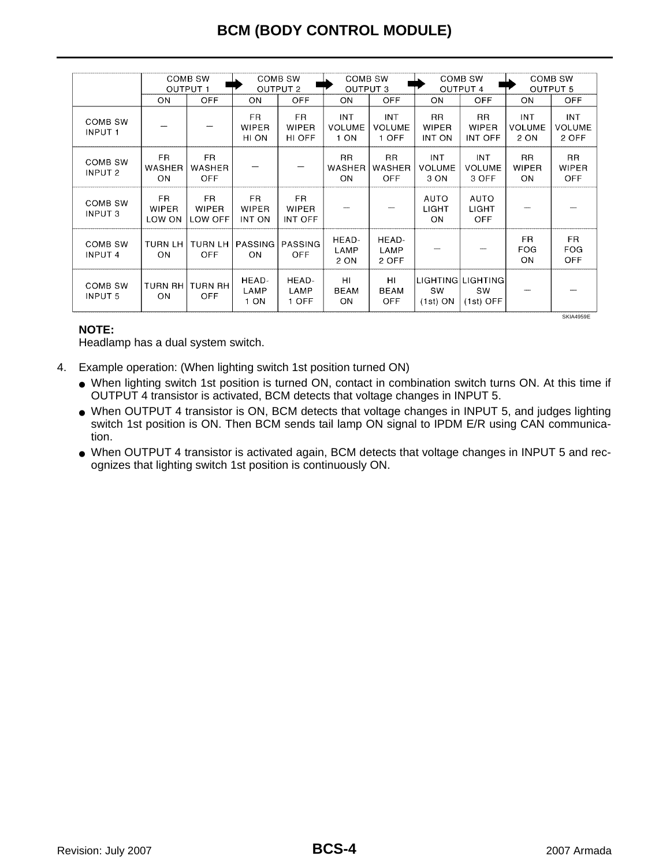|                                  | COMB SW<br><b>OUTPUT 1</b>    |                                    | COMB SW<br><b>OUTPUT 2</b>    |                                       | COMB SW<br><b>OUTPUT 3</b>          |                                      | COMB SW<br><b>OUTPUT 4</b>          |                                        | COMB SW<br><b>OUTPUT 5</b>          |                                      |
|----------------------------------|-------------------------------|------------------------------------|-------------------------------|---------------------------------------|-------------------------------------|--------------------------------------|-------------------------------------|----------------------------------------|-------------------------------------|--------------------------------------|
|                                  | ON                            | <b>OFF</b>                         | ON                            | OFF                                   | ON                                  | <b>OFF</b>                           | ON                                  | <b>OFF</b>                             | ON                                  | <b>OFF</b>                           |
| <b>COMB SW</b><br><b>INPUT 1</b> |                               |                                    | FR.<br><b>WIPER</b><br>HI ON  | FR.<br><b>WIPER</b><br>HI OFF         | <b>INT</b><br><b>VOLUME</b><br>1 ON | <b>INT</b><br><b>VOLUME</b><br>1 OFF | <b>RR</b><br><b>WIPER</b><br>INT ON | <b>RR</b><br><b>WIPER</b><br>INT OFF   | <b>INT</b><br><b>VOLUME</b><br>2 ON | <b>INT</b><br><b>VOLUME</b><br>2 OFF |
| COMB SW<br><b>INPUT 2</b>        | FR.<br>WASHER<br><b>ON</b>    | FR.<br><b>WASHER</b><br><b>OFF</b> |                               |                                       | <b>RR</b><br><b>WASHER</b><br>ON    | RR.<br>WASHER<br><b>OFF</b>          | <b>INT</b><br><b>VOLUME</b><br>3 ON | INT<br><b>VOLUME</b><br>3 OFF          | <b>RR</b><br>WIPER<br>ON            | RR.<br>WIPER<br><b>OFF</b>           |
| COMB SW<br><b>INPUT 3</b>        | FR.<br><b>WIPER</b><br>LOW ON | FR<br><b>WIPER</b><br>LOW OFF      | FR.<br><b>WIPER</b><br>INT ON | FR.<br><b>WIPER</b><br><b>INT OFF</b> |                                     |                                      | AUTO<br>LIGHT<br>ON                 | <b>AUTO</b><br>LIGHT<br><b>OFF</b>     |                                     |                                      |
| COMB SW<br><b>INPUT 4</b>        | <b>TURN LH</b><br><b>ON</b>   | <b>TURN LH</b><br>OFF              | <b>PASSING</b><br><b>ON</b>   | PASSING<br>OFF                        | HEAD-<br>LAMP<br>2 ON               | HEAD-<br>LAMP<br>2 OFF               |                                     |                                        | FR.<br><b>FOG</b><br>ON             | FR.<br><b>FOG</b><br><b>OFF</b>      |
| COMB SW<br><b>INPUT 5</b>        | <b>TURN RH</b><br>ON          | TURN RH<br><b>OFF</b>              | HEAD-<br>LAMP<br>1 ON         | HEAD-<br>LAMP<br>1 OFF                | HI<br>BEAM<br>ON                    | HI<br><b>BEAM</b><br>OFF             | <b>SW</b><br>$(1st)$ ON             | LIGHTING LIGHTING<br>SW<br>$(1st)$ OFF |                                     |                                      |

#### **NOTE:**

Headlamp has a dual system switch.

- 4. Example operation: (When lighting switch 1st position turned ON)
	- When lighting switch 1st position is turned ON, contact in combination switch turns ON. At this time if OUTPUT 4 transistor is activated, BCM detects that voltage changes in INPUT 5.
	- When OUTPUT 4 transistor is ON, BCM detects that voltage changes in INPUT 5, and judges lighting switch 1st position is ON. Then BCM sends tail lamp ON signal to IPDM E/R using CAN communication.
	- When OUTPUT 4 transistor is activated again, BCM detects that voltage changes in INPUT 5 and recognizes that lighting switch 1st position is continuously ON.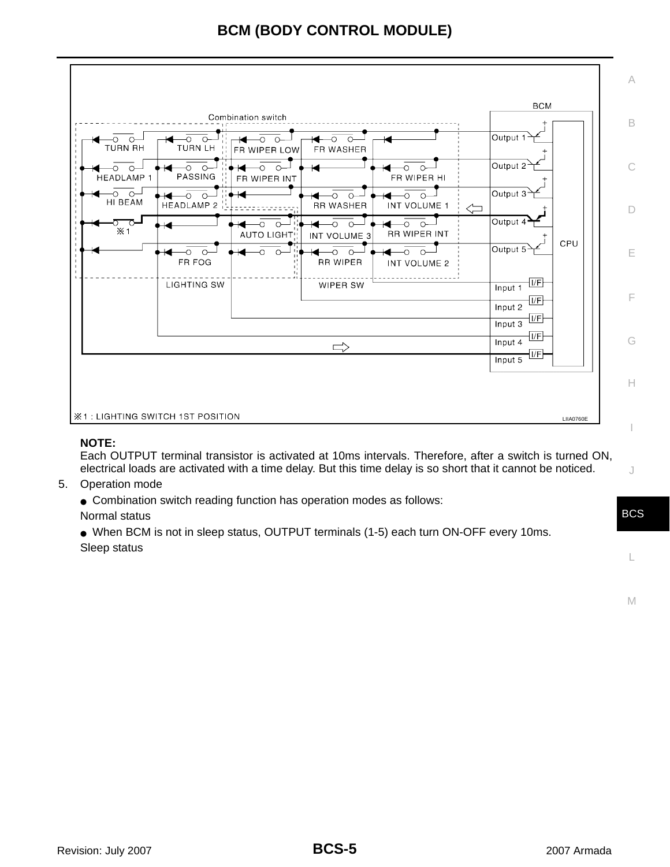|                         | Combination switch                                             |                                                 | <b>BCM</b>                                  |
|-------------------------|----------------------------------------------------------------|-------------------------------------------------|---------------------------------------------|
| -00-<br><b>TURN RH</b>  | -00<br>O<br>∩<br>TURN LH<br>FR WIPER LOW                       | $\circ$<br>$\circ$<br>FR WASHER                 | Output 1                                    |
| -00<br><b>HEADLAMP1</b> | $\circ$<br>$\circ$<br>$\circ$<br>−О<br>PASSING<br>FR WIPER INT | ∩<br>FR WIPER HI                                | Output 2                                    |
| ം പ<br>HI BEAM          | $\Omega$<br><b>HEADLAMP 2</b>                                  | <b>RR WASHER</b><br>INT VOLUME 1                | Output 3 <sup>-</sup><br>$\leftarrow$       |
| $\times 1$              | AUTO LIGHT                                                     | $\Omega$<br><b>RR WIPER INT</b><br>INT VOLUME 3 | Output 4<br>CPU                             |
|                         | $\circ$<br>$\circ$<br>FR FOG                                   | <b>RR WIPER</b><br>INT VOLUME 2                 | Output 5                                    |
|                         | <b>LIGHTING SW</b>                                             | WIPER SW                                        | $\overline{V}$<br>Input 1<br> V <br>Input 2 |
|                         |                                                                |                                                 | $\overline{\mathsf{IF}}$<br>Input 3<br> VF  |
|                         |                                                                | $\Rightarrow$                                   | Input 4<br> UF <br>Input 5                  |
|                         |                                                                |                                                 |                                             |

### **NOTE:**

Each OUTPUT terminal transistor is activated at 10ms intervals. Therefore, after a switch is turned ON, electrical loads are activated with a time delay. But this time delay is so short that it cannot be noticed.

5. Operation mode

• Combination switch reading function has operation modes as follows:

Normal status

● When BCM is not in sleep status, OUTPUT terminals (1-5) each turn ON-OFF every 10ms. Sleep status

M

L

C

A

B

D

E

F

G

H

I

J

BCS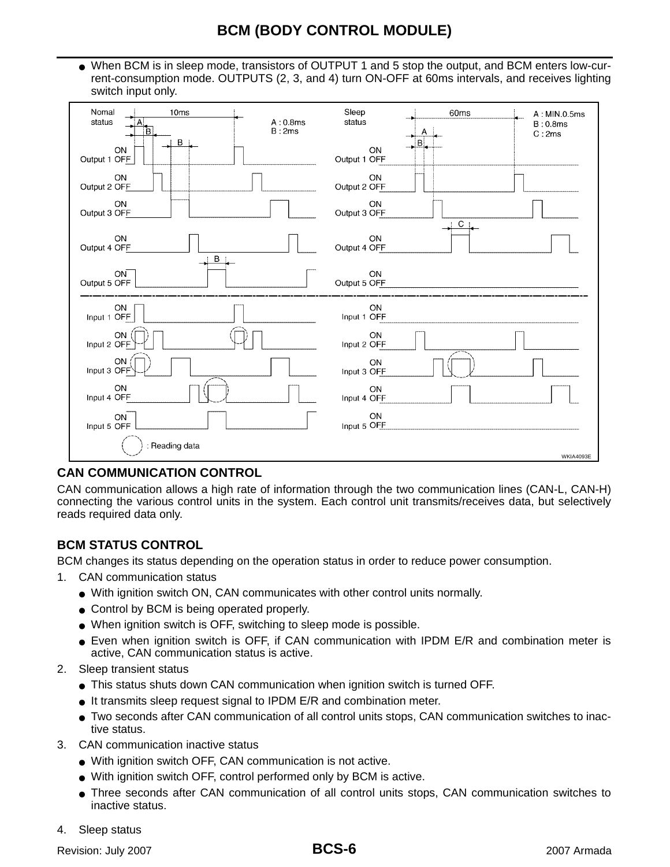● When BCM is in sleep mode, transistors of OUTPUT 1 and 5 stop the output, and BCM enters low-current-consumption mode. OUTPUTS (2, 3, and 4) turn ON-OFF at 60ms intervals, and receives lighting switch input only.

| Nomal<br>10ms<br>status<br>A:0.8ms<br>B:2ms | Sleep<br>60 <sub>ms</sub><br>A: MIN.0.5ms<br>status<br>B:0.8ms<br>C:2ms |
|---------------------------------------------|-------------------------------------------------------------------------|
| <b>B</b> i.                                 | B.                                                                      |
| ON                                          | <b>ON</b>                                                               |
| Output 1 OFF                                | Output 1 OFF                                                            |
| ON                                          | ON                                                                      |
| Output 2 OFF                                | Output 2 OFF                                                            |
| ON<br>Output 3 OFF                          | ON<br>Output 3 OFF<br>C:                                                |
| ON<br>Output 4 OFF<br>$B$ :                 | ON<br>Output 4 OFF                                                      |
| ON                                          | ON                                                                      |
| Output 5 OFF                                | Output 5 OFF                                                            |
| ON                                          | ON                                                                      |
| Input 1 OFF                                 | Input 1 OFF                                                             |
| ON                                          | ON                                                                      |
| Input 2 OFF                                 | Input 2 OFF                                                             |
| ON                                          | ON                                                                      |
| Input 3 OFF                                 | Input 3 OFF                                                             |
| ON                                          | ON                                                                      |
| Input 4 OFF                                 | Input 4 OFF                                                             |
| ON                                          | ON                                                                      |
| Input 5 OFF                                 | Input 5 OFF                                                             |
| Reading data                                | <b>WKIA4093E</b>                                                        |

## <span id="page-5-0"></span>**CAN COMMUNICATION CONTROL**

CAN communication allows a high rate of information through the two communication lines (CAN-L, CAN-H) connecting the various control units in the system. Each control unit transmits/receives data, but selectively reads required data only.

## <span id="page-5-1"></span>**BCM STATUS CONTROL**

BCM changes its status depending on the operation status in order to reduce power consumption.

- 1. CAN communication status
	- With ignition switch ON, CAN communicates with other control units normally.
	- Control by BCM is being operated properly.
	- When ignition switch is OFF, switching to sleep mode is possible.
	- Even when ignition switch is OFF, if CAN communication with IPDM E/R and combination meter is active, CAN communication status is active.
- 2. Sleep transient status
	- This status shuts down CAN communication when ignition switch is turned OFF.
	- It transmits sleep request signal to IPDM E/R and combination meter.
	- Two seconds after CAN communication of all control units stops, CAN communication switches to inactive status.
- 3. CAN communication inactive status
	- With ignition switch OFF, CAN communication is not active.
	- With ignition switch OFF, control performed only by BCM is active.
	- Three seconds after CAN communication of all control units stops, CAN communication switches to inactive status.
- 4. Sleep status

Revision: July 2007 **2007** 2007 **2007** 2007 Armada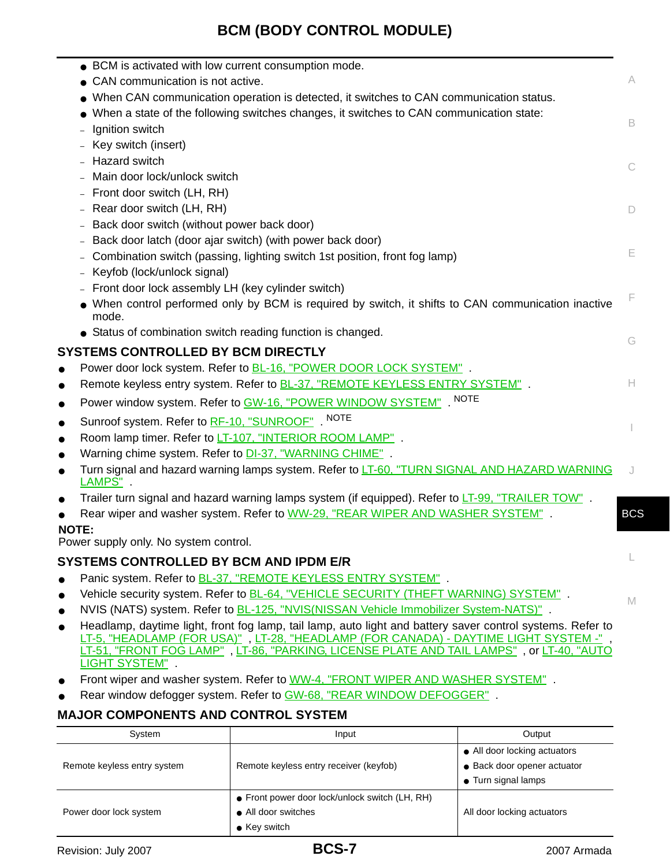<span id="page-6-0"></span>

| A<br>• CAN communication is not active.<br>• When CAN communication operation is detected, it switches to CAN communication status.<br>When a state of the following switches changes, it switches to CAN communication state:<br>B.<br>Ignition switch<br>Key switch (insert)<br>- Hazard switch<br>C<br>Main door lock/unlock switch<br>- Front door switch (LH, RH)<br>- Rear door switch (LH, RH)<br>D<br>Back door switch (without power back door)<br>Back door latch (door ajar switch) (with power back door)<br>Е<br>Combination switch (passing, lighting switch 1st position, front fog lamp)<br>Keyfob (lock/unlock signal)<br>- Front door lock assembly LH (key cylinder switch)<br>F<br>• When control performed only by BCM is required by switch, it shifts to CAN communication inactive<br>mode.<br>• Status of combination switch reading function is changed.<br>G<br><b>SYSTEMS CONTROLLED BY BCM DIRECTLY</b><br>Power door lock system. Refer to <b>BL-16, "POWER DOOR LOCK SYSTEM"</b> .<br>$\bullet$<br>Remote keyless entry system. Refer to <b>BL-37, "REMOTE KEYLESS ENTRY SYSTEM"</b> .<br>H.<br>$\bullet$<br>Power window system. Refer to GW-16, "POWER WINDOW SYSTEM" . NOTE<br>$\bullet$<br>Sunroof system. Refer to RF-10, "SUNROOF" NOTE<br>$\bullet$<br>Room lamp timer. Refer to LT-107, "INTERIOR ROOM LAMP".<br>$\bullet$<br>Warning chime system. Refer to <b>DI-37, "WARNING CHIME"</b> .<br>$\bullet$<br>Turn signal and hazard warning lamps system. Refer to LT-60, "TURN SIGNAL AND HAZARD WARNING<br>$\bullet$<br>LAMPS".<br>Trailer turn signal and hazard warning lamps system (if equipped). Refer to LT-99, "TRAILER TOW".<br>$\bullet$<br>Rear wiper and washer system. Refer to WW-29, "REAR WIPER AND WASHER SYSTEM".<br><b>BCS</b><br><b>NOTE:</b><br>Power supply only. No system control.<br><b>SYSTEMS CONTROLLED BY BCM AND IPDM E/R</b><br>Panic system. Refer to <b>BL-37, "REMOTE KEYLESS ENTRY SYSTEM"</b> .<br>Vehicle security system. Refer to <b>BL-64, "VEHICLE SECURITY (THEFT WARNING) SYSTEM"</b> .<br>$\bullet$<br>M<br>NVIS (NATS) system. Refer to <b>BL-125, "NVIS(NISSAN Vehicle Immobilizer System-NATS)"</b> .<br>Headlamp, daytime light, front fog lamp, tail lamp, auto light and battery saver control systems. Refer to<br>$\bullet$<br>LT-5, "HEADLAMP (FOR USA)", LT-28, "HEADLAMP (FOR CANADA) - DAYTIME LIGHT SYSTEM -",<br>LT-51, "FRONT FOG LAMP", LT-86, "PARKING, LICENSE PLATE AND TAIL LAMPS", or LT-40, "AUTO<br>LIGHT SYSTEM" . | • BCM is activated with low current consumption mode. |  |
|--------------------------------------------------------------------------------------------------------------------------------------------------------------------------------------------------------------------------------------------------------------------------------------------------------------------------------------------------------------------------------------------------------------------------------------------------------------------------------------------------------------------------------------------------------------------------------------------------------------------------------------------------------------------------------------------------------------------------------------------------------------------------------------------------------------------------------------------------------------------------------------------------------------------------------------------------------------------------------------------------------------------------------------------------------------------------------------------------------------------------------------------------------------------------------------------------------------------------------------------------------------------------------------------------------------------------------------------------------------------------------------------------------------------------------------------------------------------------------------------------------------------------------------------------------------------------------------------------------------------------------------------------------------------------------------------------------------------------------------------------------------------------------------------------------------------------------------------------------------------------------------------------------------------------------------------------------------------------------------------------------------------------------------------------------------------------------------------------------------------------------------------------------------------------------------------------------------------------------------------------------------------------------------------------------------------------------------------------------------------------------------------------------------------------------------------------------------------------------------------------------------------------------|-------------------------------------------------------|--|
|                                                                                                                                                                                                                                                                                                                                                                                                                                                                                                                                                                                                                                                                                                                                                                                                                                                                                                                                                                                                                                                                                                                                                                                                                                                                                                                                                                                                                                                                                                                                                                                                                                                                                                                                                                                                                                                                                                                                                                                                                                                                                                                                                                                                                                                                                                                                                                                                                                                                                                                                |                                                       |  |
|                                                                                                                                                                                                                                                                                                                                                                                                                                                                                                                                                                                                                                                                                                                                                                                                                                                                                                                                                                                                                                                                                                                                                                                                                                                                                                                                                                                                                                                                                                                                                                                                                                                                                                                                                                                                                                                                                                                                                                                                                                                                                                                                                                                                                                                                                                                                                                                                                                                                                                                                |                                                       |  |
|                                                                                                                                                                                                                                                                                                                                                                                                                                                                                                                                                                                                                                                                                                                                                                                                                                                                                                                                                                                                                                                                                                                                                                                                                                                                                                                                                                                                                                                                                                                                                                                                                                                                                                                                                                                                                                                                                                                                                                                                                                                                                                                                                                                                                                                                                                                                                                                                                                                                                                                                |                                                       |  |
|                                                                                                                                                                                                                                                                                                                                                                                                                                                                                                                                                                                                                                                                                                                                                                                                                                                                                                                                                                                                                                                                                                                                                                                                                                                                                                                                                                                                                                                                                                                                                                                                                                                                                                                                                                                                                                                                                                                                                                                                                                                                                                                                                                                                                                                                                                                                                                                                                                                                                                                                |                                                       |  |
|                                                                                                                                                                                                                                                                                                                                                                                                                                                                                                                                                                                                                                                                                                                                                                                                                                                                                                                                                                                                                                                                                                                                                                                                                                                                                                                                                                                                                                                                                                                                                                                                                                                                                                                                                                                                                                                                                                                                                                                                                                                                                                                                                                                                                                                                                                                                                                                                                                                                                                                                |                                                       |  |
|                                                                                                                                                                                                                                                                                                                                                                                                                                                                                                                                                                                                                                                                                                                                                                                                                                                                                                                                                                                                                                                                                                                                                                                                                                                                                                                                                                                                                                                                                                                                                                                                                                                                                                                                                                                                                                                                                                                                                                                                                                                                                                                                                                                                                                                                                                                                                                                                                                                                                                                                |                                                       |  |
|                                                                                                                                                                                                                                                                                                                                                                                                                                                                                                                                                                                                                                                                                                                                                                                                                                                                                                                                                                                                                                                                                                                                                                                                                                                                                                                                                                                                                                                                                                                                                                                                                                                                                                                                                                                                                                                                                                                                                                                                                                                                                                                                                                                                                                                                                                                                                                                                                                                                                                                                |                                                       |  |
|                                                                                                                                                                                                                                                                                                                                                                                                                                                                                                                                                                                                                                                                                                                                                                                                                                                                                                                                                                                                                                                                                                                                                                                                                                                                                                                                                                                                                                                                                                                                                                                                                                                                                                                                                                                                                                                                                                                                                                                                                                                                                                                                                                                                                                                                                                                                                                                                                                                                                                                                |                                                       |  |
|                                                                                                                                                                                                                                                                                                                                                                                                                                                                                                                                                                                                                                                                                                                                                                                                                                                                                                                                                                                                                                                                                                                                                                                                                                                                                                                                                                                                                                                                                                                                                                                                                                                                                                                                                                                                                                                                                                                                                                                                                                                                                                                                                                                                                                                                                                                                                                                                                                                                                                                                |                                                       |  |
|                                                                                                                                                                                                                                                                                                                                                                                                                                                                                                                                                                                                                                                                                                                                                                                                                                                                                                                                                                                                                                                                                                                                                                                                                                                                                                                                                                                                                                                                                                                                                                                                                                                                                                                                                                                                                                                                                                                                                                                                                                                                                                                                                                                                                                                                                                                                                                                                                                                                                                                                |                                                       |  |
|                                                                                                                                                                                                                                                                                                                                                                                                                                                                                                                                                                                                                                                                                                                                                                                                                                                                                                                                                                                                                                                                                                                                                                                                                                                                                                                                                                                                                                                                                                                                                                                                                                                                                                                                                                                                                                                                                                                                                                                                                                                                                                                                                                                                                                                                                                                                                                                                                                                                                                                                |                                                       |  |
|                                                                                                                                                                                                                                                                                                                                                                                                                                                                                                                                                                                                                                                                                                                                                                                                                                                                                                                                                                                                                                                                                                                                                                                                                                                                                                                                                                                                                                                                                                                                                                                                                                                                                                                                                                                                                                                                                                                                                                                                                                                                                                                                                                                                                                                                                                                                                                                                                                                                                                                                |                                                       |  |
|                                                                                                                                                                                                                                                                                                                                                                                                                                                                                                                                                                                                                                                                                                                                                                                                                                                                                                                                                                                                                                                                                                                                                                                                                                                                                                                                                                                                                                                                                                                                                                                                                                                                                                                                                                                                                                                                                                                                                                                                                                                                                                                                                                                                                                                                                                                                                                                                                                                                                                                                |                                                       |  |
|                                                                                                                                                                                                                                                                                                                                                                                                                                                                                                                                                                                                                                                                                                                                                                                                                                                                                                                                                                                                                                                                                                                                                                                                                                                                                                                                                                                                                                                                                                                                                                                                                                                                                                                                                                                                                                                                                                                                                                                                                                                                                                                                                                                                                                                                                                                                                                                                                                                                                                                                |                                                       |  |
|                                                                                                                                                                                                                                                                                                                                                                                                                                                                                                                                                                                                                                                                                                                                                                                                                                                                                                                                                                                                                                                                                                                                                                                                                                                                                                                                                                                                                                                                                                                                                                                                                                                                                                                                                                                                                                                                                                                                                                                                                                                                                                                                                                                                                                                                                                                                                                                                                                                                                                                                |                                                       |  |
|                                                                                                                                                                                                                                                                                                                                                                                                                                                                                                                                                                                                                                                                                                                                                                                                                                                                                                                                                                                                                                                                                                                                                                                                                                                                                                                                                                                                                                                                                                                                                                                                                                                                                                                                                                                                                                                                                                                                                                                                                                                                                                                                                                                                                                                                                                                                                                                                                                                                                                                                |                                                       |  |
|                                                                                                                                                                                                                                                                                                                                                                                                                                                                                                                                                                                                                                                                                                                                                                                                                                                                                                                                                                                                                                                                                                                                                                                                                                                                                                                                                                                                                                                                                                                                                                                                                                                                                                                                                                                                                                                                                                                                                                                                                                                                                                                                                                                                                                                                                                                                                                                                                                                                                                                                |                                                       |  |
|                                                                                                                                                                                                                                                                                                                                                                                                                                                                                                                                                                                                                                                                                                                                                                                                                                                                                                                                                                                                                                                                                                                                                                                                                                                                                                                                                                                                                                                                                                                                                                                                                                                                                                                                                                                                                                                                                                                                                                                                                                                                                                                                                                                                                                                                                                                                                                                                                                                                                                                                |                                                       |  |
|                                                                                                                                                                                                                                                                                                                                                                                                                                                                                                                                                                                                                                                                                                                                                                                                                                                                                                                                                                                                                                                                                                                                                                                                                                                                                                                                                                                                                                                                                                                                                                                                                                                                                                                                                                                                                                                                                                                                                                                                                                                                                                                                                                                                                                                                                                                                                                                                                                                                                                                                |                                                       |  |
|                                                                                                                                                                                                                                                                                                                                                                                                                                                                                                                                                                                                                                                                                                                                                                                                                                                                                                                                                                                                                                                                                                                                                                                                                                                                                                                                                                                                                                                                                                                                                                                                                                                                                                                                                                                                                                                                                                                                                                                                                                                                                                                                                                                                                                                                                                                                                                                                                                                                                                                                |                                                       |  |
|                                                                                                                                                                                                                                                                                                                                                                                                                                                                                                                                                                                                                                                                                                                                                                                                                                                                                                                                                                                                                                                                                                                                                                                                                                                                                                                                                                                                                                                                                                                                                                                                                                                                                                                                                                                                                                                                                                                                                                                                                                                                                                                                                                                                                                                                                                                                                                                                                                                                                                                                |                                                       |  |
|                                                                                                                                                                                                                                                                                                                                                                                                                                                                                                                                                                                                                                                                                                                                                                                                                                                                                                                                                                                                                                                                                                                                                                                                                                                                                                                                                                                                                                                                                                                                                                                                                                                                                                                                                                                                                                                                                                                                                                                                                                                                                                                                                                                                                                                                                                                                                                                                                                                                                                                                |                                                       |  |
|                                                                                                                                                                                                                                                                                                                                                                                                                                                                                                                                                                                                                                                                                                                                                                                                                                                                                                                                                                                                                                                                                                                                                                                                                                                                                                                                                                                                                                                                                                                                                                                                                                                                                                                                                                                                                                                                                                                                                                                                                                                                                                                                                                                                                                                                                                                                                                                                                                                                                                                                |                                                       |  |
|                                                                                                                                                                                                                                                                                                                                                                                                                                                                                                                                                                                                                                                                                                                                                                                                                                                                                                                                                                                                                                                                                                                                                                                                                                                                                                                                                                                                                                                                                                                                                                                                                                                                                                                                                                                                                                                                                                                                                                                                                                                                                                                                                                                                                                                                                                                                                                                                                                                                                                                                |                                                       |  |
|                                                                                                                                                                                                                                                                                                                                                                                                                                                                                                                                                                                                                                                                                                                                                                                                                                                                                                                                                                                                                                                                                                                                                                                                                                                                                                                                                                                                                                                                                                                                                                                                                                                                                                                                                                                                                                                                                                                                                                                                                                                                                                                                                                                                                                                                                                                                                                                                                                                                                                                                |                                                       |  |
|                                                                                                                                                                                                                                                                                                                                                                                                                                                                                                                                                                                                                                                                                                                                                                                                                                                                                                                                                                                                                                                                                                                                                                                                                                                                                                                                                                                                                                                                                                                                                                                                                                                                                                                                                                                                                                                                                                                                                                                                                                                                                                                                                                                                                                                                                                                                                                                                                                                                                                                                |                                                       |  |
|                                                                                                                                                                                                                                                                                                                                                                                                                                                                                                                                                                                                                                                                                                                                                                                                                                                                                                                                                                                                                                                                                                                                                                                                                                                                                                                                                                                                                                                                                                                                                                                                                                                                                                                                                                                                                                                                                                                                                                                                                                                                                                                                                                                                                                                                                                                                                                                                                                                                                                                                |                                                       |  |
|                                                                                                                                                                                                                                                                                                                                                                                                                                                                                                                                                                                                                                                                                                                                                                                                                                                                                                                                                                                                                                                                                                                                                                                                                                                                                                                                                                                                                                                                                                                                                                                                                                                                                                                                                                                                                                                                                                                                                                                                                                                                                                                                                                                                                                                                                                                                                                                                                                                                                                                                |                                                       |  |
|                                                                                                                                                                                                                                                                                                                                                                                                                                                                                                                                                                                                                                                                                                                                                                                                                                                                                                                                                                                                                                                                                                                                                                                                                                                                                                                                                                                                                                                                                                                                                                                                                                                                                                                                                                                                                                                                                                                                                                                                                                                                                                                                                                                                                                                                                                                                                                                                                                                                                                                                |                                                       |  |
|                                                                                                                                                                                                                                                                                                                                                                                                                                                                                                                                                                                                                                                                                                                                                                                                                                                                                                                                                                                                                                                                                                                                                                                                                                                                                                                                                                                                                                                                                                                                                                                                                                                                                                                                                                                                                                                                                                                                                                                                                                                                                                                                                                                                                                                                                                                                                                                                                                                                                                                                |                                                       |  |
|                                                                                                                                                                                                                                                                                                                                                                                                                                                                                                                                                                                                                                                                                                                                                                                                                                                                                                                                                                                                                                                                                                                                                                                                                                                                                                                                                                                                                                                                                                                                                                                                                                                                                                                                                                                                                                                                                                                                                                                                                                                                                                                                                                                                                                                                                                                                                                                                                                                                                                                                |                                                       |  |
|                                                                                                                                                                                                                                                                                                                                                                                                                                                                                                                                                                                                                                                                                                                                                                                                                                                                                                                                                                                                                                                                                                                                                                                                                                                                                                                                                                                                                                                                                                                                                                                                                                                                                                                                                                                                                                                                                                                                                                                                                                                                                                                                                                                                                                                                                                                                                                                                                                                                                                                                |                                                       |  |
|                                                                                                                                                                                                                                                                                                                                                                                                                                                                                                                                                                                                                                                                                                                                                                                                                                                                                                                                                                                                                                                                                                                                                                                                                                                                                                                                                                                                                                                                                                                                                                                                                                                                                                                                                                                                                                                                                                                                                                                                                                                                                                                                                                                                                                                                                                                                                                                                                                                                                                                                |                                                       |  |
| Front wiper and washer system. Refer to WW-4, "FRONT WIPER AND WASHER SYSTEM".                                                                                                                                                                                                                                                                                                                                                                                                                                                                                                                                                                                                                                                                                                                                                                                                                                                                                                                                                                                                                                                                                                                                                                                                                                                                                                                                                                                                                                                                                                                                                                                                                                                                                                                                                                                                                                                                                                                                                                                                                                                                                                                                                                                                                                                                                                                                                                                                                                                 |                                                       |  |
| Rear window defogger system. Refer to GW-68, "REAR WINDOW DEFOGGER".                                                                                                                                                                                                                                                                                                                                                                                                                                                                                                                                                                                                                                                                                                                                                                                                                                                                                                                                                                                                                                                                                                                                                                                                                                                                                                                                                                                                                                                                                                                                                                                                                                                                                                                                                                                                                                                                                                                                                                                                                                                                                                                                                                                                                                                                                                                                                                                                                                                           |                                                       |  |

## <span id="page-6-2"></span><span id="page-6-1"></span>**MAJOR COMPONENTS AND CONTROL SYSTEM**

| System                      | Input                                                                                         | Output                                                                             |
|-----------------------------|-----------------------------------------------------------------------------------------------|------------------------------------------------------------------------------------|
| Remote keyless entry system | Remote keyless entry receiver (keyfob)                                                        | • All door locking actuators<br>• Back door opener actuator<br>• Turn signal lamps |
| Power door lock system      | • Front power door lock/unlock switch (LH, RH)<br>• All door switches<br>$\bullet$ Key switch | All door locking actuators                                                         |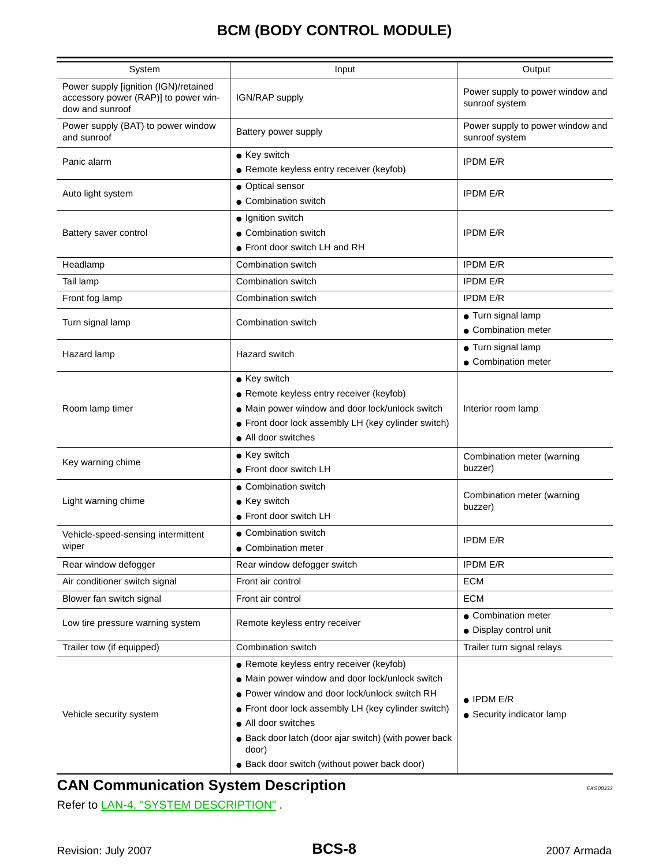| System                                                                                           | Input                                                                                                                                                                                                                      | Output                                             |
|--------------------------------------------------------------------------------------------------|----------------------------------------------------------------------------------------------------------------------------------------------------------------------------------------------------------------------------|----------------------------------------------------|
| Power supply [ignition (IGN)/retained<br>accessory power (RAP)] to power win-<br>dow and sunroof | IGN/RAP supply                                                                                                                                                                                                             | Power supply to power window and<br>sunroof system |
| Power supply (BAT) to power window<br>and sunroof                                                | Battery power supply                                                                                                                                                                                                       | Power supply to power window and<br>sunroof system |
| Panic alarm                                                                                      | • Key switch<br>• Remote keyless entry receiver (keyfob)                                                                                                                                                                   | <b>IPDM E/R</b>                                    |
| Auto light system                                                                                | • Optical sensor<br>• Combination switch                                                                                                                                                                                   | <b>IPDM E/R</b>                                    |
| Battery saver control                                                                            | · Ignition switch<br>• Combination switch<br>• Front door switch LH and RH                                                                                                                                                 | <b>IPDM E/R</b>                                    |
| Headlamp                                                                                         | Combination switch                                                                                                                                                                                                         | <b>IPDM E/R</b>                                    |
| Tail lamp                                                                                        | Combination switch                                                                                                                                                                                                         | <b>IPDM E/R</b>                                    |
| Front fog lamp                                                                                   | Combination switch                                                                                                                                                                                                         | <b>IPDM E/R</b>                                    |
| Turn signal lamp                                                                                 | Combination switch                                                                                                                                                                                                         | • Turn signal lamp<br>• Combination meter          |
| Hazard lamp                                                                                      | <b>Hazard switch</b>                                                                                                                                                                                                       | • Turn signal lamp<br>• Combination meter          |
| Room lamp timer                                                                                  | • Key switch<br>• Remote keyless entry receiver (keyfob)<br>• Main power window and door lock/unlock switch<br>• Front door lock assembly LH (key cylinder switch)<br>• All door switches                                  | Interior room lamp                                 |
| Key warning chime                                                                                | • Key switch<br>• Front door switch LH                                                                                                                                                                                     | Combination meter (warning<br>buzzer)              |
| Light warning chime                                                                              | • Combination switch<br>• Key switch<br>• Front door switch LH                                                                                                                                                             | Combination meter (warning<br>buzzer)              |
| Vehicle-speed-sensing intermittent<br>wiper                                                      | • Combination switch<br>• Combination meter                                                                                                                                                                                | <b>IPDM E/R</b>                                    |
| Rear window defogger                                                                             | Rear window defogger switch                                                                                                                                                                                                | <b>IPDM E/R</b>                                    |
| Air conditioner switch signal                                                                    | Front air control                                                                                                                                                                                                          | <b>ECM</b>                                         |
| Blower fan switch signal                                                                         | Front air control                                                                                                                                                                                                          | ECM                                                |
| Low tire pressure warning system                                                                 | Remote keyless entry receiver                                                                                                                                                                                              | • Combination meter<br>· Display control unit      |
| Trailer tow (if equipped)                                                                        | Combination switch                                                                                                                                                                                                         | Trailer turn signal relays                         |
| Vehicle security system                                                                          | • Remote keyless entry receiver (keyfob)<br>• Main power window and door lock/unlock switch<br>• Power window and door lock/unlock switch RH<br>• Front door lock assembly LH (key cylinder switch)<br>• All door switches | $\bullet$ IPDM E/R<br>• Security indicator lamp    |
|                                                                                                  | • Back door latch (door ajar switch) (with power back<br>door)<br>• Back door switch (without power back door)                                                                                                             |                                                    |

# <span id="page-7-0"></span>**CAN Communication System Description** EXACTED ATTICALLY EXSOLUTED BECAN EXSOLUTED ATTICALLY

Refer to LAN-4, "SYSTEM DESCRIPTION".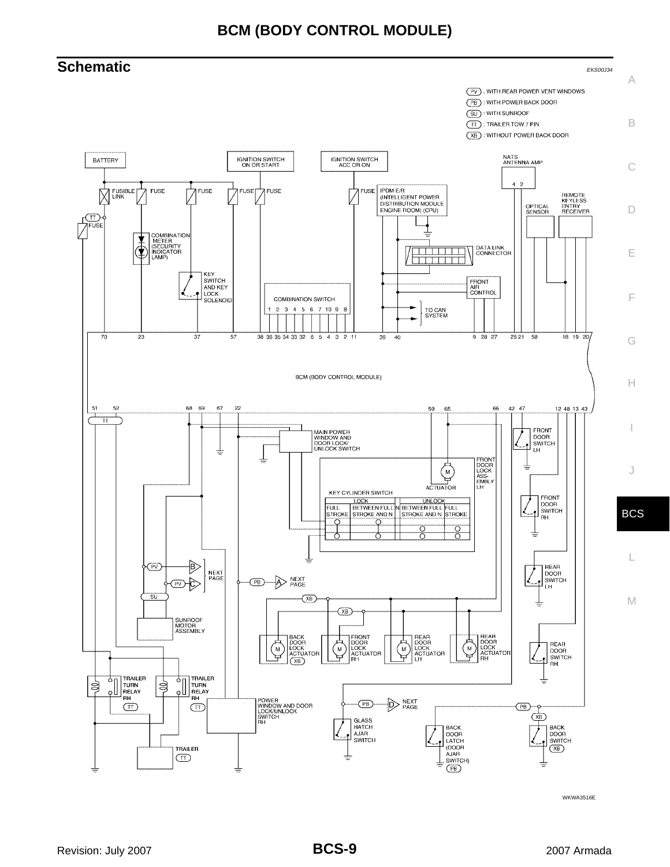<span id="page-8-0"></span>

WKWA3516E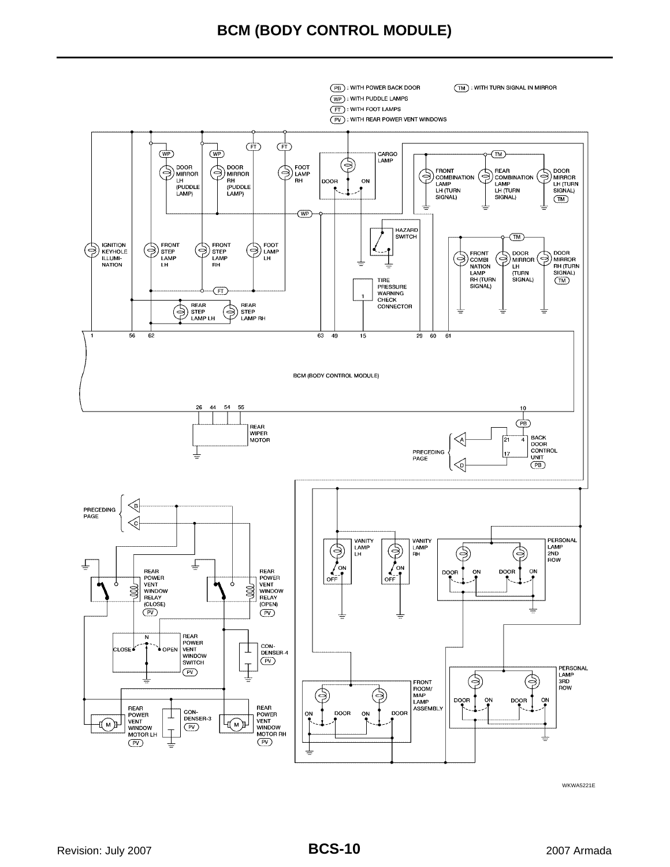

WKWA5221E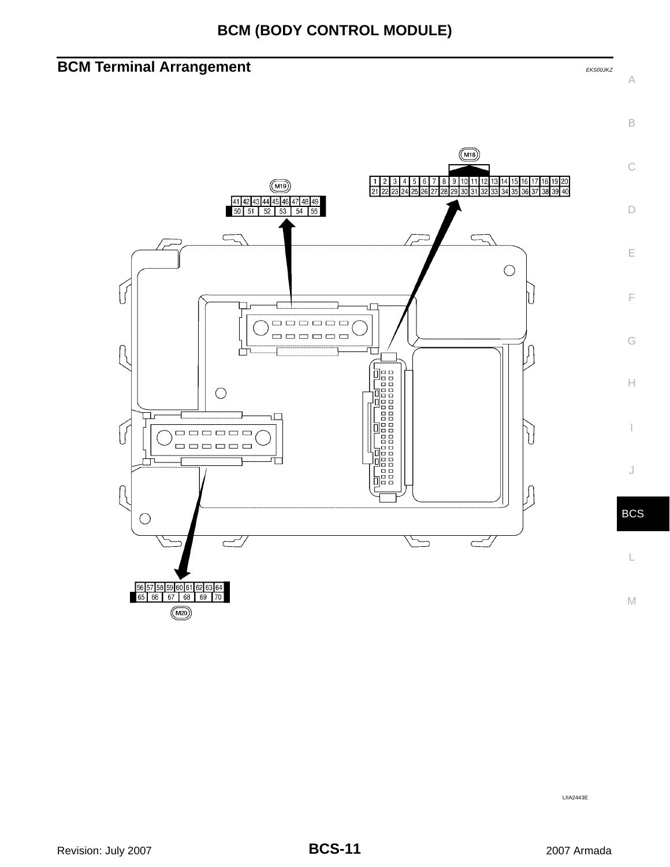<span id="page-10-0"></span>



LIIA2443E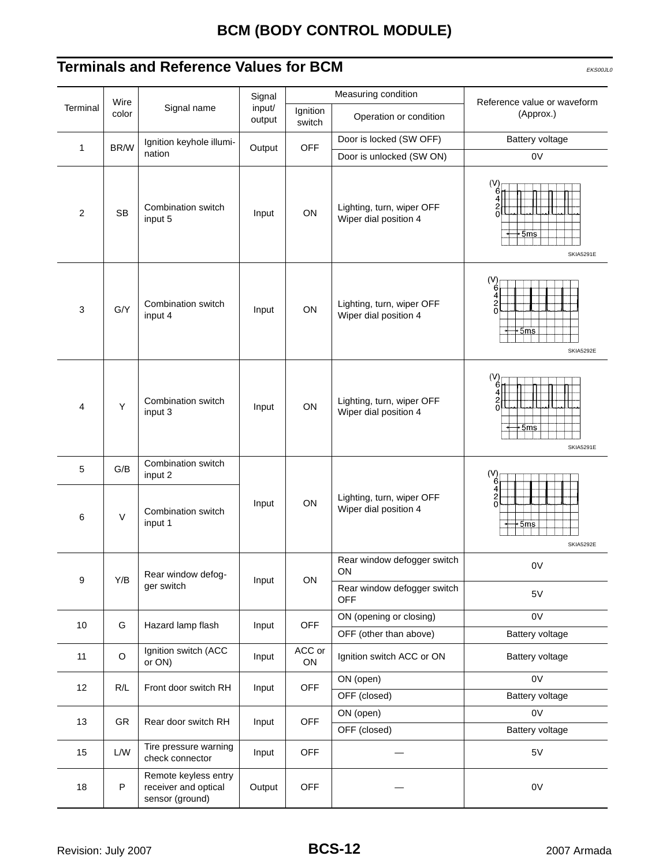## <span id="page-11-0"></span>**Terminals and Reference Values for BCM** EKS00JL0

|                |               |                                                                 | Signal           |                    | Measuring condition                                | Reference value or waveform                                             |  |
|----------------|---------------|-----------------------------------------------------------------|------------------|--------------------|----------------------------------------------------|-------------------------------------------------------------------------|--|
| Terminal       | Wire<br>color | Signal name                                                     | input/<br>output | Ignition<br>switch | Operation or condition                             | (Approx.)                                                               |  |
|                |               | Ignition keyhole illumi-                                        |                  |                    | Door is locked (SW OFF)                            | Battery voltage                                                         |  |
| 1              | BR/W          | nation                                                          | Output           | <b>OFF</b>         | Door is unlocked (SW ON)                           | 0V                                                                      |  |
| $\overline{2}$ | <b>SB</b>     | Combination switch<br>input 5                                   | Input            | ON                 | Lighting, turn, wiper OFF<br>Wiper dial position 4 | (V<br>$+5\mathrm{ms}$<br><b>SKIA5291E</b>                               |  |
| 3              | G/Y           | Combination switch<br>input 4                                   | Input            | ON                 | Lighting, turn, wiper OFF<br>Wiper dial position 4 | (V)<br>6<br>Δ<br>$\overline{c}$<br>$\Omega$<br>∙5ms<br><b>SKIA5292E</b> |  |
| $\overline{4}$ | Y             | Combination switch<br>input 3                                   | Input            | ON                 | Lighting, turn, wiper OFF<br>Wiper dial position 4 | (V)<br>$-5ms$<br><b>SKIA5291E</b>                                       |  |
| 5              | G/B           | Combination switch<br>input 2                                   |                  |                    |                                                    | (V)<br>6                                                                |  |
| 6              | $\vee$        | Combination switch<br>input 1                                   | Input            | ON                 | Lighting, turn, wiper OFF<br>Wiper dial position 4 | 4<br>$\frac{2}{0}$<br>+5ms<br><b>SKIA5292E</b>                          |  |
|                |               |                                                                 |                  |                    | Rear window defogger switch                        | 0V                                                                      |  |
| 9              | Y/B           | Rear window defog-                                              | Input            | ON                 | ON                                                 |                                                                         |  |
|                |               | ger switch                                                      |                  |                    | Rear window defogger switch<br><b>OFF</b>          | $5\textrm{V}$                                                           |  |
| 10             | G             | Hazard lamp flash                                               | Input            | <b>OFF</b>         | ON (opening or closing)                            | 0V                                                                      |  |
|                |               |                                                                 |                  |                    | OFF (other than above)                             | Battery voltage                                                         |  |
| 11             | $\circ$       | Ignition switch (ACC<br>or ON)                                  | Input            | ACC or<br>ON       | Ignition switch ACC or ON                          | Battery voltage                                                         |  |
| 12             | R/L           | Front door switch RH                                            | Input            | OFF                | ON (open)                                          | 0V                                                                      |  |
|                |               |                                                                 |                  |                    | OFF (closed)                                       | Battery voltage                                                         |  |
| 13             | GR            | Rear door switch RH                                             | Input            | <b>OFF</b>         | ON (open)<br>OFF (closed)                          | 0V<br>Battery voltage                                                   |  |
| 15             | ${\sf L/W}$   | Tire pressure warning<br>check connector                        | Input            | <b>OFF</b>         |                                                    | 5V                                                                      |  |
| 18             | P             | Remote keyless entry<br>receiver and optical<br>sensor (ground) | Output           | <b>OFF</b>         |                                                    | 0V                                                                      |  |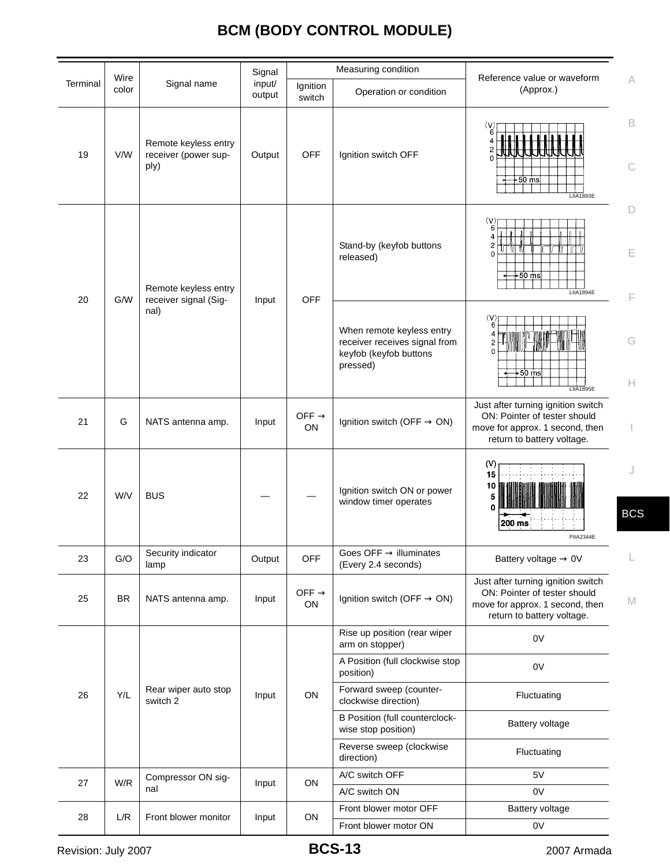|          |               |                                                      | Signal           |                         | Measuring condition                                                                              |                                                                                                                                     |                  |
|----------|---------------|------------------------------------------------------|------------------|-------------------------|--------------------------------------------------------------------------------------------------|-------------------------------------------------------------------------------------------------------------------------------------|------------------|
| Terminal | Wire<br>color | Signal name                                          | input/<br>output | Ignition<br>switch      | Operation or condition                                                                           | Reference value or waveform<br>(Approx.)                                                                                            | A                |
| 19       | V/W           | Remote keyless entry<br>receiver (power sup-<br>ply) | Output           | <b>OFF</b>              | Ignition switch OFF                                                                              | (V)<br>6<br>2<br>$-50$ ms<br><b>LIIA1893E</b>                                                                                       | B<br>С           |
| 20       | G/W           | Remote keyless entry<br>receiver signal (Sig-        | Input            | <b>OFF</b>              | Stand-by (keyfob buttons<br>released)                                                            | (V)<br>6<br>4<br>2<br>$\mathbf 0$<br>$+50$ ms<br><b>LIIA1894E</b>                                                                   | $\Box$<br>E<br>F |
|          |               | nal)                                                 |                  |                         | When remote keyless entry<br>receiver receives signal from<br>keyfob (keyfob buttons<br>pressed) | (V)<br>6<br>$+50$ ms<br><b>LIIA1895E</b>                                                                                            | G<br>Н           |
| 21       | G             | NATS antenna amp.                                    | Input            | OFF $\rightarrow$<br>ON | Ignition switch (OFF $\rightarrow$ ON)                                                           | Just after turning ignition switch<br>ON: Pointer of tester should<br>move for approx. 1 second, then<br>return to battery voltage. |                  |
| 22       | W/V           | <b>BUS</b>                                           |                  |                         | Ignition switch ON or power<br>window timer operates                                             | (V)<br>15<br>10<br>200 ms<br>PIIA2344E                                                                                              | J<br><b>BCS</b>  |
| 23       | G/O           | Security indicator<br>lamp                           | Output           | OFF                     | Goes OFF $\rightarrow$ illuminates<br>(Every 2.4 seconds)                                        | Battery voltage $\rightarrow$ 0V                                                                                                    |                  |
| 25       | <b>BR</b>     | NATS antenna amp.                                    | Input            | OFF $\rightarrow$<br>ON | Ignition switch (OFF $\rightarrow$ ON)                                                           | Just after turning ignition switch<br>ON: Pointer of tester should<br>move for approx. 1 second, then<br>return to battery voltage. | M                |
|          |               |                                                      |                  |                         | Rise up position (rear wiper<br>arm on stopper)                                                  | 0V                                                                                                                                  |                  |
|          |               |                                                      |                  |                         | A Position (full clockwise stop<br>position)                                                     | 0V                                                                                                                                  |                  |
| 26       | Y/L           | Rear wiper auto stop<br>switch 2                     | Input            | ${\sf ON}$              | Forward sweep (counter-<br>clockwise direction)                                                  | Fluctuating                                                                                                                         |                  |
|          |               |                                                      |                  |                         | <b>B Position (full counterclock-</b><br>wise stop position)                                     | Battery voltage                                                                                                                     |                  |
|          |               |                                                      |                  |                         | Reverse sweep (clockwise<br>direction)                                                           | Fluctuating                                                                                                                         |                  |
|          | W/R           | Compressor ON sig-                                   |                  |                         | A/C switch OFF                                                                                   | 5V                                                                                                                                  |                  |
| 27       |               | nal                                                  | Input            | ON                      | A/C switch ON                                                                                    | 0V                                                                                                                                  |                  |
| 28       | L/R           | Front blower monitor                                 | Input            | ON                      | Front blower motor OFF                                                                           | Battery voltage                                                                                                                     |                  |
|          |               |                                                      |                  | Front blower motor ON   | 0V                                                                                               |                                                                                                                                     |                  |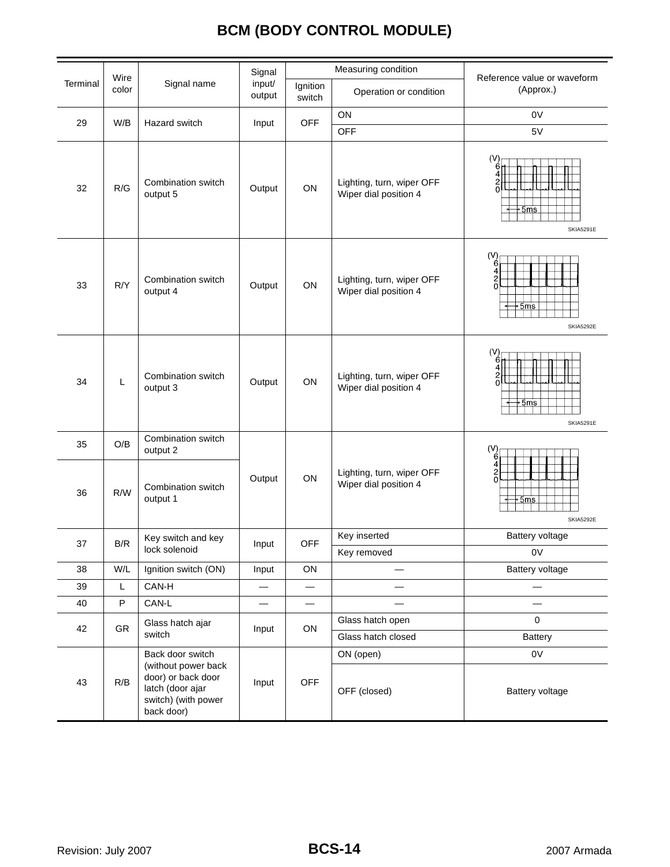| Wire     |       |                                                                                                                        | Signal                   |                                | Measuring condition                                | Reference value or waveform                      |  |
|----------|-------|------------------------------------------------------------------------------------------------------------------------|--------------------------|--------------------------------|----------------------------------------------------|--------------------------------------------------|--|
| Terminal | color | Signal name                                                                                                            | input/<br>output         | Ignition<br>switch             | Operation or condition                             | (Approx.)                                        |  |
| 29       | W/B   | Hazard switch                                                                                                          |                          | OFF                            | ON                                                 | 0V                                               |  |
|          |       |                                                                                                                        | Input                    |                                | <b>OFF</b>                                         | 5V                                               |  |
| 32       | R/G   | Combination switch<br>output 5                                                                                         | Output                   | ON                             | Lighting, turn, wiper OFF<br>Wiper dial position 4 | (V)<br>$\frac{2}{0}$<br>+5ms<br><b>SKIA5291E</b> |  |
| 33       | R/Y   | Combination switch<br>output 4                                                                                         | Output                   | ON                             | Lighting, turn, wiper OFF<br>Wiper dial position 4 | (V)<br>4<br>2<br>0<br>+5ms<br><b>SKIA5292E</b>   |  |
| 34       | L     | Combination switch<br>output 3                                                                                         | Output                   | ON                             | Lighting, turn, wiper OFF<br>Wiper dial position 4 | (V)<br>$+5ms$<br><b>SKIA5291E</b>                |  |
| 35       | O/B   | Combination switch<br>output 2                                                                                         |                          |                                |                                                    | (V)                                              |  |
| 36       | R/W   | Combination switch<br>output 1                                                                                         | Output                   | ON                             | Lighting, turn, wiper OFF<br>Wiper dial position 4 | 2<br>0<br>5 <sub>ms</sub><br><b>SKIA5292E</b>    |  |
| 37       | B/R   | Key switch and key                                                                                                     | Input                    | <b>OFF</b>                     | Key inserted                                       | Battery voltage                                  |  |
|          |       | lock solenoid                                                                                                          |                          |                                | Key removed                                        | 0V                                               |  |
| 38       | W/L   | Ignition switch (ON)                                                                                                   | Input                    | ON                             |                                                    | Battery voltage                                  |  |
| 39       | Г     | CAN-H                                                                                                                  | $\qquad \qquad$          | $\qquad \qquad \longleftarrow$ |                                                    |                                                  |  |
| 40       | P     | CAN-L                                                                                                                  | $\overline{\phantom{0}}$ | $\overline{\phantom{0}}$       | $\overline{\phantom{0}}$                           | $\overline{\phantom{0}}$                         |  |
| 42       | GR    | Glass hatch ajar<br>switch                                                                                             | Input                    | ON                             | Glass hatch open<br>Glass hatch closed             | $\mathbf 0$<br><b>Battery</b>                    |  |
| 43       | R/B   | Back door switch<br>(without power back<br>door) or back door<br>latch (door ajar<br>switch) (with power<br>back door) | Input                    | <b>OFF</b>                     | ON (open)<br>OFF (closed)                          | 0V<br>Battery voltage                            |  |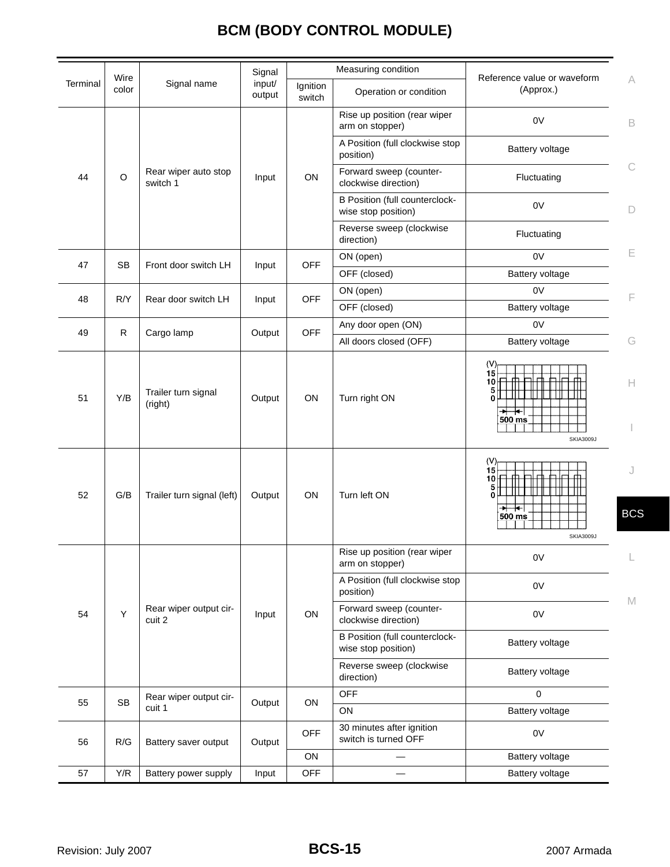|          | Wire                 |                                  | Signal           | Measuring condition |                                                              | Reference value or waveform                                                                        |                 |
|----------|----------------------|----------------------------------|------------------|---------------------|--------------------------------------------------------------|----------------------------------------------------------------------------------------------------|-----------------|
| Terminal | color                | Signal name                      | input/<br>output | Ignition<br>switch  | Operation or condition                                       | (Approx.)                                                                                          | A               |
|          |                      |                                  |                  |                     | Rise up position (rear wiper<br>arm on stopper)              | 0V                                                                                                 | B               |
|          |                      |                                  |                  |                     | A Position (full clockwise stop<br>position)                 | <b>Battery voltage</b>                                                                             |                 |
| 44       | $\circ$              | Rear wiper auto stop<br>switch 1 | Input            | ON                  | Forward sweep (counter-<br>clockwise direction)              | Fluctuating                                                                                        | С               |
|          |                      |                                  |                  |                     | <b>B Position (full counterclock-</b><br>wise stop position) | 0 <sup>V</sup>                                                                                     | D               |
|          |                      |                                  |                  |                     | Reverse sweep (clockwise<br>direction)                       | Fluctuating                                                                                        |                 |
| 47       | <b>SB</b>            | Front door switch LH             | Input            | <b>OFF</b>          | ON (open)                                                    | 0V                                                                                                 | Е               |
|          |                      |                                  |                  |                     | OFF (closed)                                                 | Battery voltage                                                                                    |                 |
| 48       | R/Y                  | Rear door switch LH              |                  | <b>OFF</b>          | ON (open)                                                    | 0 <sup>V</sup>                                                                                     | F               |
|          |                      |                                  | Input            |                     | OFF (closed)                                                 | Battery voltage                                                                                    |                 |
| 49       | $\mathsf{R}$         | Cargo lamp                       | Output           | <b>OFF</b>          | Any door open (ON)                                           | 0V                                                                                                 |                 |
|          |                      |                                  |                  |                     | All doors closed (OFF)                                       | Battery voltage                                                                                    | G               |
| 51       | Y/B                  | Trailer turn signal<br>(right)   | Output           | ON                  | Turn right ON                                                | (V)<br>15<br>10 <sup>1</sup><br>$\overline{\phantom{0}}$<br>$500$ ms<br><b>SKIA3009J</b>           | H.              |
| 52       | G/B                  | Trailer turn signal (left)       | Output           | ON                  | Turn left ON                                                 | (V)<br>15<br>10 $H$<br>Ш<br>n١<br>$\overline{\phantom{0}}$<br>$500 \text{ ms}$<br><b>SKIA3009J</b> | J<br><b>BCS</b> |
|          |                      |                                  |                  |                     | Rise up position (rear wiper<br>arm on stopper)              | 0V                                                                                                 |                 |
|          |                      | Rear wiper output cir-<br>cuit 2 | Input            | ON                  | A Position (full clockwise stop<br>position)                 | 0V                                                                                                 |                 |
| 54       | Y                    |                                  |                  |                     | Forward sweep (counter-<br>clockwise direction)              | 0V                                                                                                 | M               |
|          |                      |                                  |                  |                     | B Position (full counterclock-<br>wise stop position)        | Battery voltage                                                                                    |                 |
|          |                      |                                  |                  |                     | Reverse sweep (clockwise<br>direction)                       | Battery voltage                                                                                    |                 |
| 55       | $\mathsf{SB}\xspace$ | Rear wiper output cir-<br>cuit 1 | Output           | ON                  | OFF                                                          | 0                                                                                                  |                 |
|          |                      |                                  |                  |                     | $\mathsf{ON}$                                                | Battery voltage                                                                                    |                 |
| 56       | R/G                  | Battery saver output             | Output           | <b>OFF</b>          | 30 minutes after ignition<br>switch is turned OFF            | 0V                                                                                                 |                 |
|          |                      |                                  |                  | ON                  |                                                              | Battery voltage                                                                                    |                 |
| 57       | Y/R                  | Battery power supply             | Input            | <b>OFF</b>          | Battery voltage                                              |                                                                                                    |                 |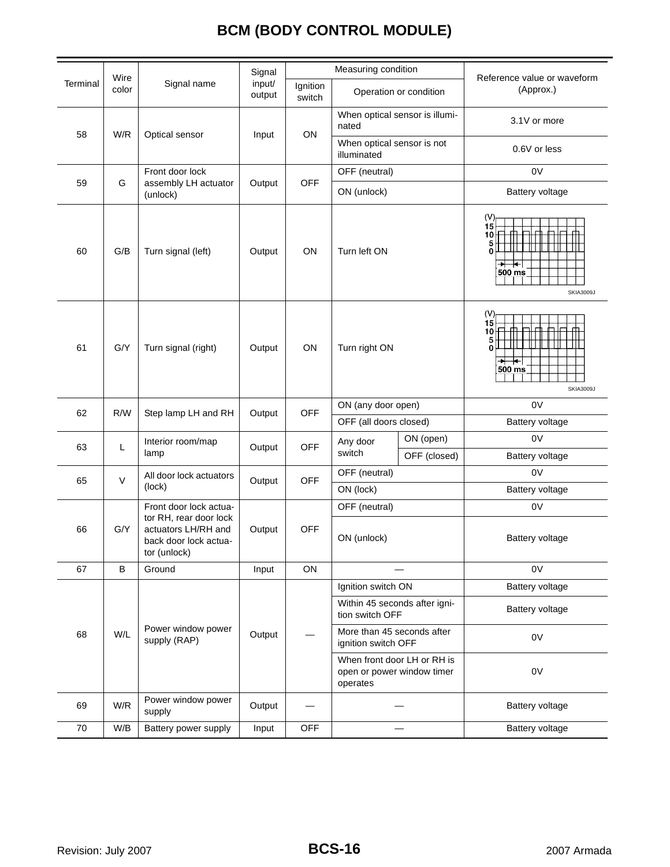|          | Wire                                       |                                                                                        | Signal                                    | Measuring condition                          |                                                                       |                           | Reference value or waveform                                                     |  |
|----------|--------------------------------------------|----------------------------------------------------------------------------------------|-------------------------------------------|----------------------------------------------|-----------------------------------------------------------------------|---------------------------|---------------------------------------------------------------------------------|--|
| Terminal | color                                      | Signal name                                                                            | input/<br>output                          | Ignition<br>Operation or condition<br>switch |                                                                       | (Approx.)                 |                                                                                 |  |
|          |                                            |                                                                                        |                                           |                                              | When optical sensor is illumi-<br>nated                               |                           | 3.1V or more                                                                    |  |
|          | 58<br>W/R<br>ON<br>Optical sensor<br>Input |                                                                                        | When optical sensor is not<br>illuminated |                                              | 0.6V or less                                                          |                           |                                                                                 |  |
|          |                                            | Front door lock                                                                        |                                           |                                              | OFF (neutral)                                                         |                           | 0V                                                                              |  |
| 59       | G                                          | assembly LH actuator<br>(unlock)                                                       | Output                                    | <b>OFF</b>                                   | ON (unlock)                                                           |                           | Battery voltage                                                                 |  |
| 60       | G/B                                        | Turn signal (left)                                                                     | Output                                    | ON                                           | Turn left ON                                                          |                           | (V)<br>15<br>10 $\parallel$<br>5<br>$\Omega$<br>Ŧ<br>500 ms<br><b>SKIA3009J</b> |  |
| 61       | G/Y                                        | Turn signal (right)                                                                    | Output                                    | ON                                           | Turn right ON                                                         |                           | (V)<br>15<br>$\mathbf{0}$<br>∗⊦<br>╄╾<br>500 ms<br><b>SKIA3009J</b>             |  |
| 62       | R/W                                        | Step lamp LH and RH                                                                    | Output                                    | <b>OFF</b>                                   | ON (any door open)                                                    |                           | 0 <sup>V</sup>                                                                  |  |
|          |                                            |                                                                                        |                                           | OFF (all doors closed)                       |                                                                       | Battery voltage           |                                                                                 |  |
| 63       | L                                          | Interior room/map<br>lamp                                                              | Output                                    | <b>OFF</b>                                   | Any door<br>switch                                                    | ON (open)<br>OFF (closed) | 0V<br><b>Battery voltage</b>                                                    |  |
|          |                                            | All door lock actuators                                                                |                                           |                                              | OFF (neutral)                                                         |                           | 0V                                                                              |  |
| 65       | $\vee$                                     | (lock)                                                                                 | Output                                    | <b>OFF</b>                                   | ON (lock)                                                             |                           | Battery voltage                                                                 |  |
|          |                                            | Front door lock actua-                                                                 |                                           |                                              | OFF (neutral)                                                         |                           | 0V                                                                              |  |
| 66       | G/Y                                        | tor RH, rear door lock<br>actuators LH/RH and<br>back door lock actua-<br>tor (unlock) | Output                                    | <b>OFF</b>                                   | ON (unlock)                                                           |                           | Battery voltage                                                                 |  |
| 67       | B                                          | Ground                                                                                 | Input                                     | ON                                           |                                                                       |                           | 0V                                                                              |  |
|          |                                            |                                                                                        |                                           |                                              | Ignition switch ON                                                    |                           | Battery voltage                                                                 |  |
|          | W/L                                        | Power window power<br>supply (RAP)                                                     | Output                                    |                                              | Within 45 seconds after igni-<br>tion switch OFF                      |                           | Battery voltage                                                                 |  |
| 68       |                                            |                                                                                        |                                           |                                              | More than 45 seconds after<br>ignition switch OFF                     |                           | 0V                                                                              |  |
|          |                                            |                                                                                        |                                           |                                              | When front door LH or RH is<br>open or power window timer<br>operates |                           | 0V                                                                              |  |
| 69       | W/R                                        | Power window power<br>supply                                                           | Output                                    |                                              |                                                                       |                           | Battery voltage                                                                 |  |
| 70       | W/B                                        | Battery power supply                                                                   | Input                                     | <b>OFF</b>                                   |                                                                       |                           | Battery voltage                                                                 |  |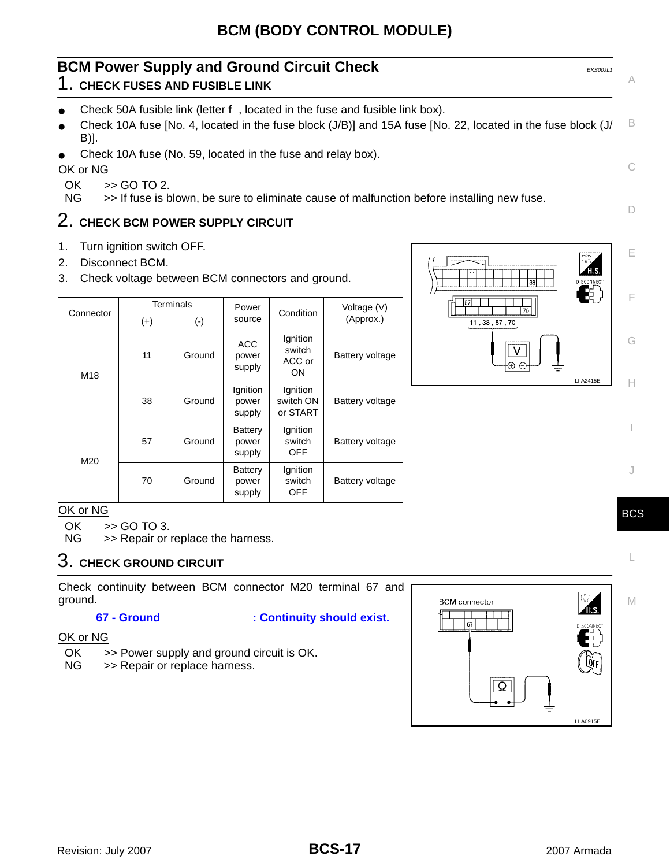<span id="page-16-0"></span>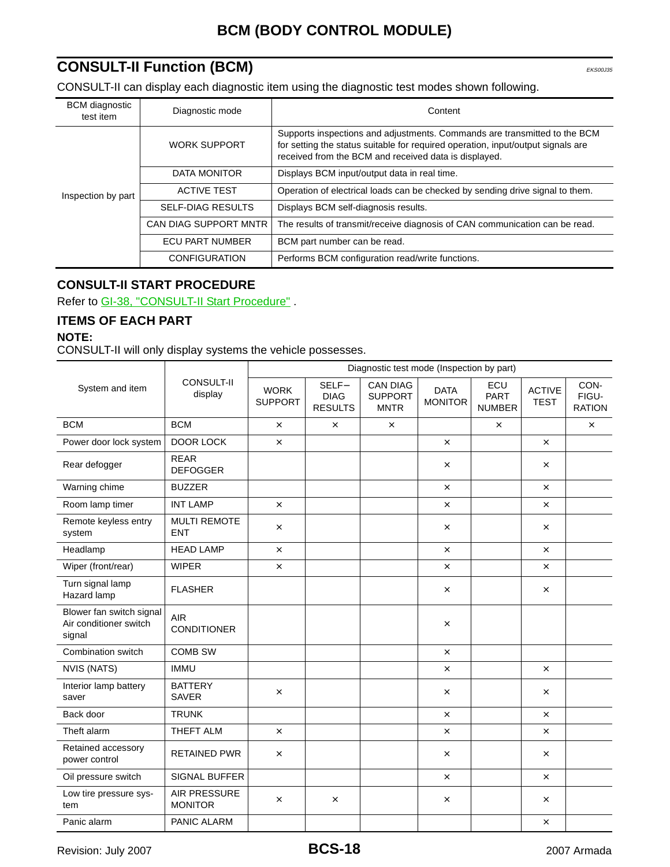## <span id="page-17-0"></span>**CONSULT-II Function (BCM)** EXECONSULT-II Function (BCM)

CONSULT-II can display each diagnostic item using the diagnostic test modes shown following.

| <b>BCM</b> diagnostic<br>test item | Diagnostic mode          | Content                                                                                                                                                                                                                |  |  |
|------------------------------------|--------------------------|------------------------------------------------------------------------------------------------------------------------------------------------------------------------------------------------------------------------|--|--|
|                                    | <b>WORK SUPPORT</b>      | Supports inspections and adjustments. Commands are transmitted to the BCM<br>for setting the status suitable for required operation, input/output signals are<br>received from the BCM and received data is displayed. |  |  |
|                                    | DATA MONITOR             | Displays BCM input/output data in real time.                                                                                                                                                                           |  |  |
| Inspection by part                 | <b>ACTIVE TEST</b>       | Operation of electrical loads can be checked by sending drive signal to them.                                                                                                                                          |  |  |
|                                    | <b>SELF-DIAG RESULTS</b> | Displays BCM self-diagnosis results.                                                                                                                                                                                   |  |  |
|                                    | CAN DIAG SUPPORT MNTR    | The results of transmit/receive diagnosis of CAN communication can be read.                                                                                                                                            |  |  |
|                                    | <b>ECU PART NUMBER</b>   | BCM part number can be read.                                                                                                                                                                                           |  |  |
|                                    | <b>CONFIGURATION</b>     | Performs BCM configuration read/write functions.                                                                                                                                                                       |  |  |

## <span id="page-17-1"></span>**CONSULT-II START PROCEDURE**

Refer to GI-38, "CONSULT-II Start Procedure".

## <span id="page-17-2"></span>**ITEMS OF EACH PART**

## **NOTE:**

CONSULT-II will only display systems the vehicle possesses.

|                                                              | <b>CONSULT-II</b><br>display      | Diagnostic test mode (Inspection by part) |                                        |                                                  |                               |                                     |                              |                                |  |
|--------------------------------------------------------------|-----------------------------------|-------------------------------------------|----------------------------------------|--------------------------------------------------|-------------------------------|-------------------------------------|------------------------------|--------------------------------|--|
| System and item                                              |                                   | <b>WORK</b><br><b>SUPPORT</b>             | SELF-<br><b>DIAG</b><br><b>RESULTS</b> | <b>CAN DIAG</b><br><b>SUPPORT</b><br><b>MNTR</b> | <b>DATA</b><br><b>MONITOR</b> | ECU<br><b>PART</b><br><b>NUMBER</b> | <b>ACTIVE</b><br><b>TEST</b> | CON-<br>FIGU-<br><b>RATION</b> |  |
| <b>BCM</b>                                                   | <b>BCM</b>                        | $\times$                                  | $\times$                               | $\times$                                         |                               | $\times$                            |                              | $\times$                       |  |
| Power door lock system                                       | <b>DOOR LOCK</b>                  | $\times$                                  |                                        |                                                  | $\times$                      |                                     | $\times$                     |                                |  |
| Rear defogger                                                | <b>REAR</b><br><b>DEFOGGER</b>    |                                           |                                        |                                                  | $\times$                      |                                     | $\times$                     |                                |  |
| Warning chime                                                | <b>BUZZER</b>                     |                                           |                                        |                                                  | $\times$                      |                                     | $\times$                     |                                |  |
| Room lamp timer                                              | <b>INT LAMP</b>                   | $\times$                                  |                                        |                                                  | $\times$                      |                                     | $\times$                     |                                |  |
| Remote keyless entry<br>system                               | <b>MULTI REMOTE</b><br><b>ENT</b> | $\times$                                  |                                        |                                                  | $\times$                      |                                     | $\times$                     |                                |  |
| Headlamp                                                     | <b>HEAD LAMP</b>                  | $\times$                                  |                                        |                                                  | $\times$                      |                                     | $\times$                     |                                |  |
| Wiper (front/rear)                                           | <b>WIPER</b>                      | $\times$                                  |                                        |                                                  | $\times$                      |                                     | $\times$                     |                                |  |
| Turn signal lamp<br>Hazard lamp                              | <b>FLASHER</b>                    |                                           |                                        |                                                  | $\times$                      |                                     | $\times$                     |                                |  |
| Blower fan switch signal<br>Air conditioner switch<br>signal | <b>AIR</b><br><b>CONDITIONER</b>  |                                           |                                        |                                                  | $\times$                      |                                     |                              |                                |  |
| Combination switch                                           | <b>COMB SW</b>                    |                                           |                                        |                                                  | $\times$                      |                                     |                              |                                |  |
| <b>NVIS (NATS)</b>                                           | <b>IMMU</b>                       |                                           |                                        |                                                  | $\times$                      |                                     | $\times$                     |                                |  |
| Interior lamp battery<br>saver                               | <b>BATTERY</b><br><b>SAVER</b>    | $\times$                                  |                                        |                                                  | $\times$                      |                                     | $\times$                     |                                |  |
| Back door                                                    | <b>TRUNK</b>                      |                                           |                                        |                                                  | $\times$                      |                                     | $\times$                     |                                |  |
| Theft alarm                                                  | THEFT ALM                         | $\times$                                  |                                        |                                                  | $\times$                      |                                     | $\times$                     |                                |  |
| Retained accessory<br>power control                          | <b>RETAINED PWR</b>               | $\times$                                  |                                        |                                                  | $\times$                      |                                     | $\times$                     |                                |  |
| Oil pressure switch                                          | SIGNAL BUFFER                     |                                           |                                        |                                                  | $\times$                      |                                     | $\times$                     |                                |  |
| Low tire pressure sys-<br>tem                                | AIR PRESSURE<br><b>MONITOR</b>    | $\times$                                  | $\times$                               |                                                  | $\times$                      |                                     | $\times$                     |                                |  |
| Panic alarm                                                  | PANIC ALARM                       |                                           |                                        |                                                  |                               |                                     | $\times$                     |                                |  |

Revision: July 2007 **2007** 2007 **2007** 2007 Armada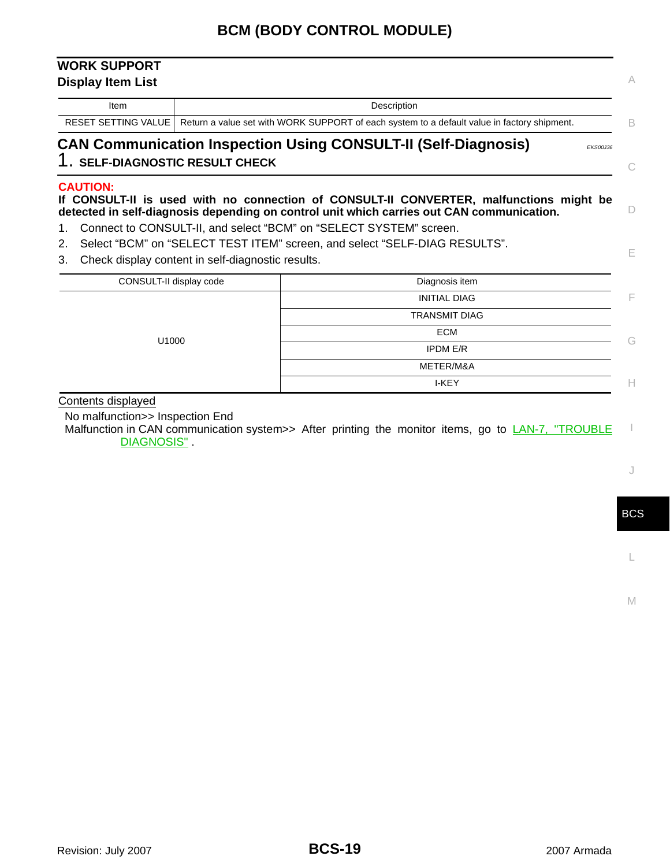## <span id="page-18-0"></span>**WORK SUPPORT Display Item List**

| <b>CAN Communication Inspection Using CONSULT-II (Self-Diagnosis)</b>                                             |  |
|-------------------------------------------------------------------------------------------------------------------|--|
| RESET SETTING VALUE   Return a value set with WORK SUPPORT of each system to a default value in factory shipment. |  |
| Description                                                                                                       |  |
|                                                                                                                   |  |

## <span id="page-18-1"></span>1. **SELF-DIAGNOSTIC RESULT CHECK**

#### **CAUTION:**

## **If CONSULT-II is used with no connection of CONSULT-II CONVERTER, malfunctions might be detected in self-diagnosis depending on control unit which carries out CAN communication.**

- 1. Connect to CONSULT-II, and select "BCM" on "SELECT SYSTEM" screen.
- 2. Select "BCM" on "SELECT TEST ITEM" screen, and select "SELF-DIAG RESULTS".
- 3. Check display content in self-diagnostic results.

| CONSULT-II display code | Diagnosis item       |   |
|-------------------------|----------------------|---|
|                         | <b>INITIAL DIAG</b>  | - |
|                         | <b>TRANSMIT DIAG</b> |   |
|                         | <b>ECM</b>           | G |
| U1000                   | <b>IPDM E/R</b>      |   |
|                         | METER/M&A            |   |
|                         | I-KEY                |   |

Contents displayed

No malfunction>> Inspection End

I Malfunction in CAN communication system>> After printing the monitor items, go to LAN-7, "TROUBLE DIAGNOSIS".

J

C

A

D

E

BCS

L

M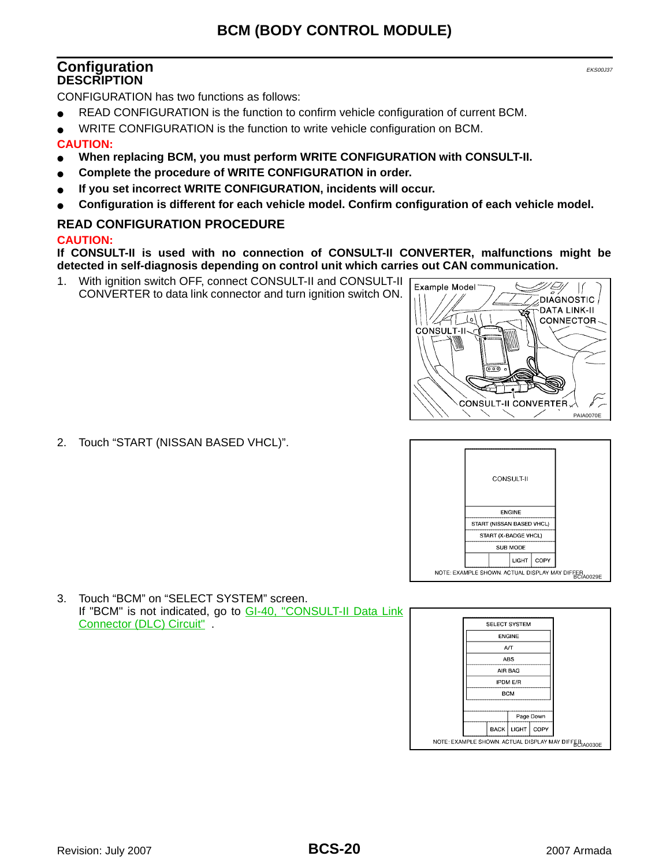## <span id="page-19-1"></span><span id="page-19-0"></span>**Configuration** EXPRESS **Configuration DESCRIPTION**

CONFIGURATION has two functions as follows:

- READ CONFIGURATION is the function to confirm vehicle configuration of current BCM.
- WRITE CONFIGURATION is the function to write vehicle configuration on BCM.

#### **CAUTION:**

- When replacing BCM, you must perform WRITE CONFIGURATION with CONSULT-II.
- Complete the procedure of WRITE CONFIGURATION in order.
- If you set incorrect WRITE CONFIGURATION, incidents will occur.
- Configuration is different for each vehicle model. Confirm configuration of each vehicle model.

#### <span id="page-19-2"></span>**READ CONFIGURATION PROCEDURE**

2. Touch "START (NISSAN BASED VHCL)".

#### **CAUTION:**

**If CONSULT-II is used with no connection of CONSULT-II CONVERTER, malfunctions might be detected in self-diagnosis depending on control unit which carries out CAN communication.**

1. With ignition switch OFF, connect CONSULT-II and CONSULT-II CONVERTER to data link connector and turn ignition switch ON.





3. Touch "BCM" on "SELECT SYSTEM" screen. If "BCM" is not indicated, go to GI-40, "CONSULT-II Data Link Connector (DLC) Circuit" .

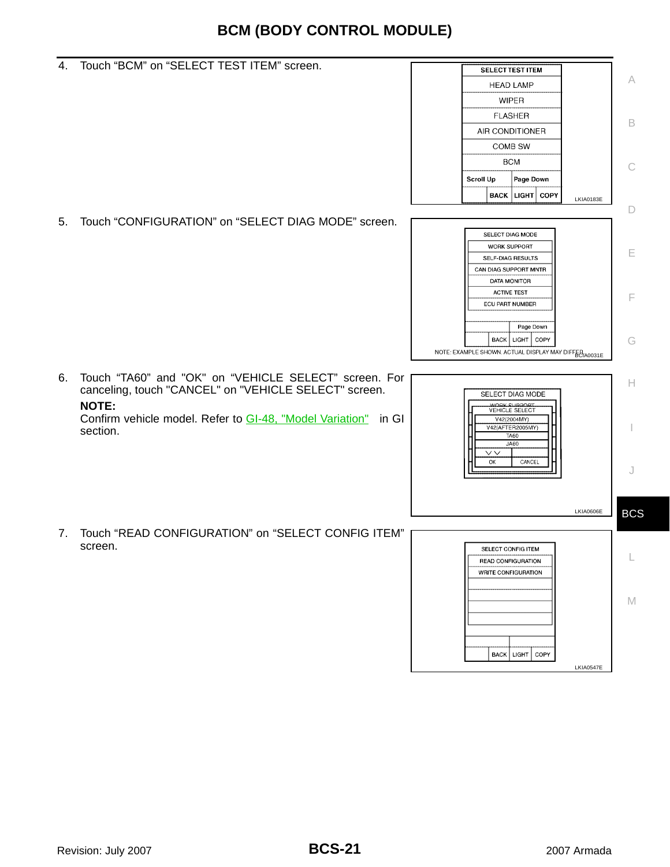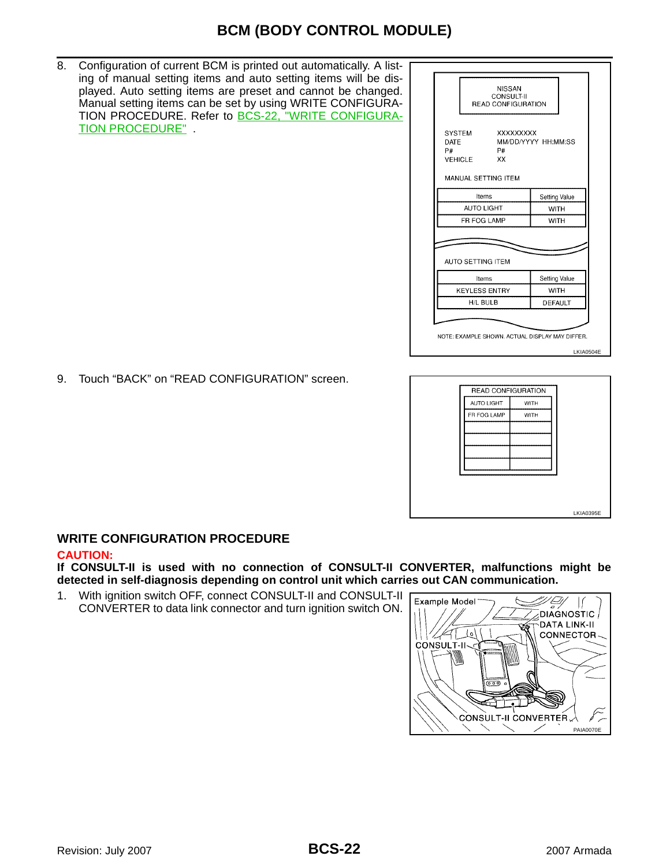8. Configuration of current BCM is printed out automatically. A listing of manual setting items and auto setting items will be displayed. Auto setting items are preset and cannot be changed. Manual setting items can be set by using WRITE CONFIGURA-TION PROCEDURE. Refer to **[BCS-22, "WRITE CONFIGURA-](#page-21-0)**[TION PROCEDURE"](#page-21-0) .



9. Touch "BACK" on "READ CONFIGURATION" screen.



## <span id="page-21-0"></span>**WRITE CONFIGURATION PROCEDURE**

#### **CAUTION:**

**If CONSULT-II is used with no connection of CONSULT-II CONVERTER, malfunctions might be detected in self-diagnosis depending on control unit which carries out CAN communication.**

1. With ignition switch OFF, connect CONSULT-II and CONSULT-II CONVERTER to data link connector and turn ignition switch ON.

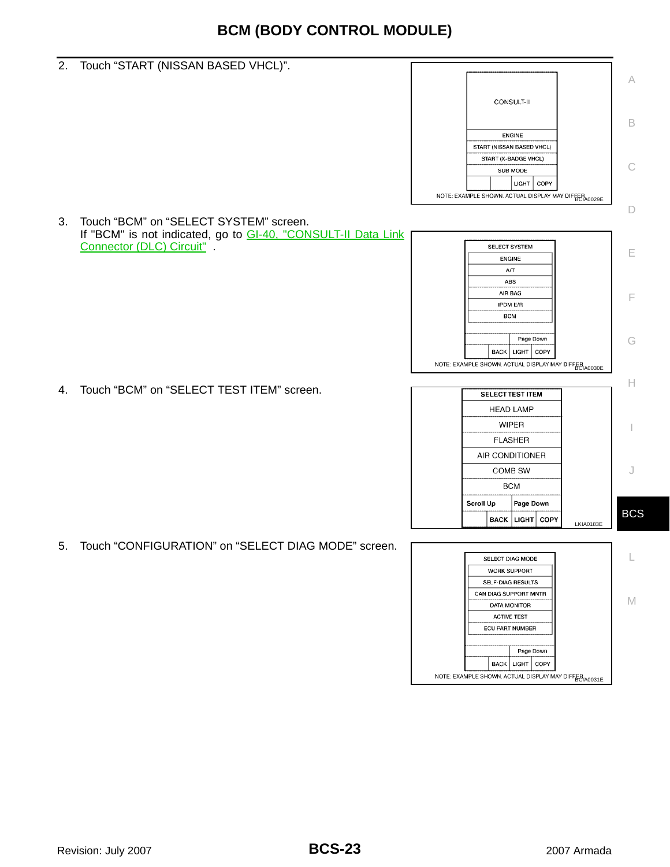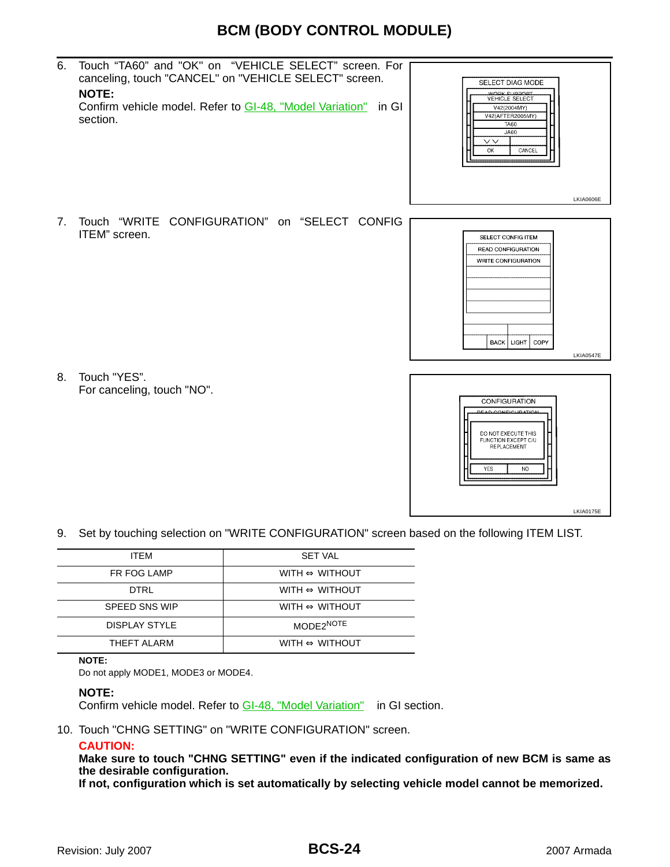6. Touch "TA60" and "OK" on "VEHICLE SELECT" screen. For canceling, touch "CANCEL" on "VEHICLE SELECT" screen. **NOTE:**

Confirm vehicle model. Refer to GI-48, "Model Variation" in GI section.



7. Touch "WRITE CONFIGURATION" on "SELECT CONFIG ITEM" screen.



8. Touch "YES". For canceling, touch "NO".



9. Set by touching selection on "WRITE CONFIGURATION" screen based on the following ITEM LIST.

| <b>ITFM</b>          | <b>SET VAL</b>                 |
|----------------------|--------------------------------|
| FR FOG LAMP          | WITH $\Leftrightarrow$ WITHOUT |
| DTRI                 | WITH $\Leftrightarrow$ WITHOUT |
| <b>SPEED SNS WIP</b> | WITH $\Leftrightarrow$ WITHOUT |
| <b>DISPLAY STYLE</b> | MODE2NOTE                      |
| THFFT AI ARM         | WITH $\Leftrightarrow$ WITHOUT |

#### **NOTE:**

Do not apply MODE1, MODE3 or MODE4.

#### **NOTE:**

Confirm vehicle model. Refer to GI-48, "Model Variation" in GI section.

10. Touch "CHNG SETTING" on "WRITE CONFIGURATION" screen.

#### **CAUTION:**

**Make sure to touch "CHNG SETTING" even if the indicated configuration of new BCM is same as the desirable configuration.**

**If not, configuration which is set automatically by selecting vehicle model cannot be memorized.**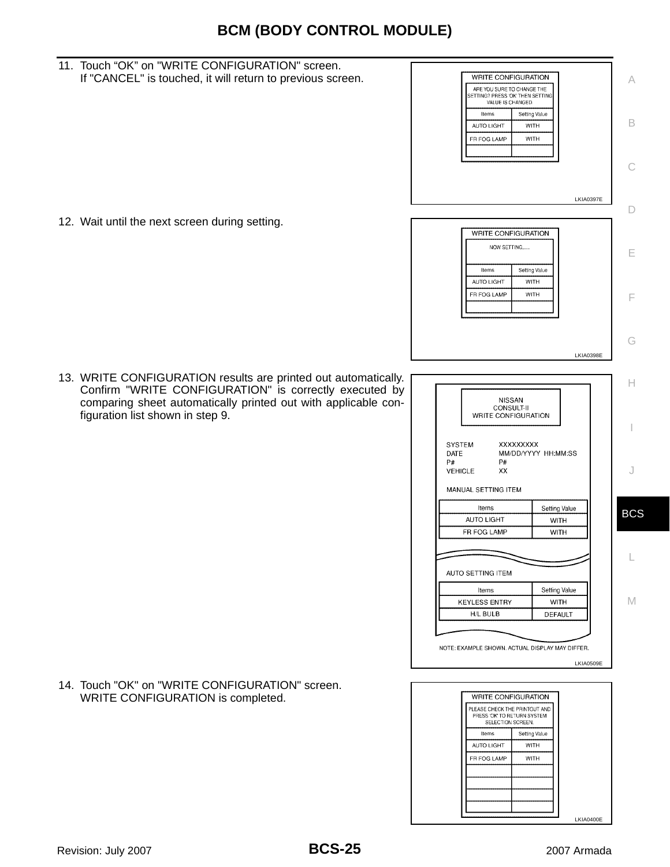11. Touch "OK" on "WRITE CONFIGURATION" screen. If "CANCEL" is touched, it will return to previous screen. WRITE CONFIGURATION A ARE YOU SURE TO CHANGE THE<br>SETTING? PRESS 'OK' THEN SETTING<br>VALUE IS CHANGED. Items Setting Value B AUTO LIGHT WITH FR FOG LAMP **WITH** C LKIA0397E D 12. Wait until the next screen during setting. WRITE CONFIGURATION NOW SETTING..... E Items Setting Value AUTO LIGHT **WITH** FR FOG LAMP **WITH** F G LKIA0398E 13. WRITE CONFIGURATION results are printed out automatically. H Confirm "WRITE CONFIGURATION" is correctly executed by comparing sheet automatically printed out with applicable con-**NISSAN** CONSULT-II figuration list shown in step 9. WRITE CONFIGURATION I SYSTEM XXXXXXXX DATE MM/DD/YYYY HH:MM:SS  $P#$  ${\sf P}\#$ **VEHICLE**  $XX$ J MANUAL SETTING ITEM Items Setting Value BCS AUTO LIGHT **WITH** FR FOG LAMP **WITH** L AUTO SETTING ITEM Setting Value Items M **KEYLESS ENTRY WITH**  $H/L$  BULB DEFAULT NOTE: EXAMPLE SHOWN. ACTUAL DISPLAY MAY DIFFER. LKIA0509E 14. Touch "OK" on "WRITE CONFIGURATION" screen. WRITE CONFIGURATION WRITE CONFIGURATION is completed. PLEASE CHECK THE PRINTOUT AND PRESS 'OK' TO RETURN SYSTEM<br>SELECTION SCREEN. Items Setting Value AUTO LIGHT **WITH** FR FOG LAMP **WITH** LKIA0400E